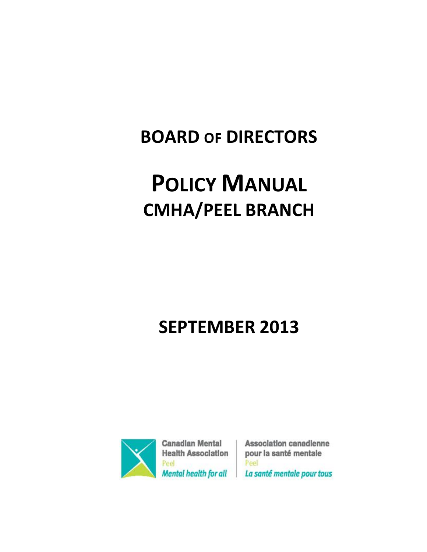## **BOARD OF DIRECTORS**

# **POLICY MANUAL CMHA/PEEL BRANCH**

## **SEPTEMBER 2013**



**Canadian Mental Health Association** Peel **Mental health for all** 

Association canadienne pour la santé mentale Peel La santé mentale pour tous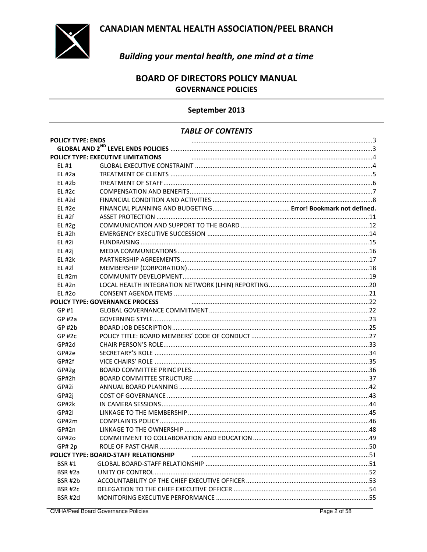

### Building your mental health, one mind at a time

### **BOARD OF DIRECTORS POLICY MANUAL GOVERNANCE POLICIES**

#### September 2013

#### **TABLE OF CONTENTS**

| <b>POLICY TYPE: ENDS</b> |                                        |  |  |  |
|--------------------------|----------------------------------------|--|--|--|
|                          |                                        |  |  |  |
|                          | POLICY TYPE: EXECUTIVE LIMITATIONS     |  |  |  |
| EL #1                    |                                        |  |  |  |
| $EL$ #2a                 |                                        |  |  |  |
| $EL$ #2 $b$              |                                        |  |  |  |
| $EL$ #2 $c$              |                                        |  |  |  |
| EL#2d                    |                                        |  |  |  |
| $EL$ #2e                 |                                        |  |  |  |
| EL#2f                    |                                        |  |  |  |
| $EL$ #2g                 |                                        |  |  |  |
| EL #2h                   |                                        |  |  |  |
| EL #2i                   |                                        |  |  |  |
| $EL$ #2j                 |                                        |  |  |  |
| EL#2k                    |                                        |  |  |  |
| EL#2I                    |                                        |  |  |  |
| EL#2m                    |                                        |  |  |  |
| EL#2n                    |                                        |  |  |  |
| EL #20                   |                                        |  |  |  |
|                          | <b>POLICY TYPE: GOVERNANCE PROCESS</b> |  |  |  |
| GP #1                    |                                        |  |  |  |
| GP#2a                    |                                        |  |  |  |
| $GP$ #2 $b$              |                                        |  |  |  |
| $GP$ #2 $c$              |                                        |  |  |  |
| GP#2d                    |                                        |  |  |  |
| GP#2e                    |                                        |  |  |  |
| GP#2f                    |                                        |  |  |  |
| GP#2g                    |                                        |  |  |  |
| GP#2h                    |                                        |  |  |  |
| GP#2i                    |                                        |  |  |  |
| GP#2j                    |                                        |  |  |  |
| GP#2k                    |                                        |  |  |  |
| GP#2I                    |                                        |  |  |  |
| GP#2m                    |                                        |  |  |  |
| GP#2n                    |                                        |  |  |  |
| GP#2o                    |                                        |  |  |  |
| GP# 2p                   |                                        |  |  |  |
|                          | POLICY TYPE: BOARD-STAFF RELATIONSHIP  |  |  |  |
| <b>BSR#1</b>             |                                        |  |  |  |
| BSR #2a                  |                                        |  |  |  |
| <b>BSR#2b</b>            |                                        |  |  |  |
| BSR#2c                   |                                        |  |  |  |
| <b>BSR #2d</b>           |                                        |  |  |  |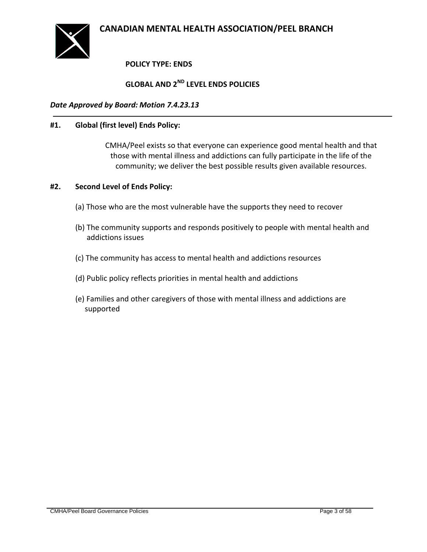<span id="page-2-0"></span>

### **POLICY TYPE: ENDS**

### **GLOBAL AND 2ND LEVEL ENDS POLICIES**

#### <span id="page-2-1"></span>*Date Approved by Board: Motion 7.4.23.13*

#### **#1. Global (first level) Ends Policy:**

CMHA/Peel exists so that everyone can experience good mental health and that those with mental illness and addictions can fully participate in the life of the community; we deliver the best possible results given available resources.

#### **#2. Second Level of Ends Policy:**

- (a) Those who are the most vulnerable have the supports they need to recover
- (b) The community supports and responds positively to people with mental health and addictions issues
- (c) The community has access to mental health and addictions resources
- (d) Public policy reflects priorities in mental health and addictions
- (e) Families and other caregivers of those with mental illness and addictions are supported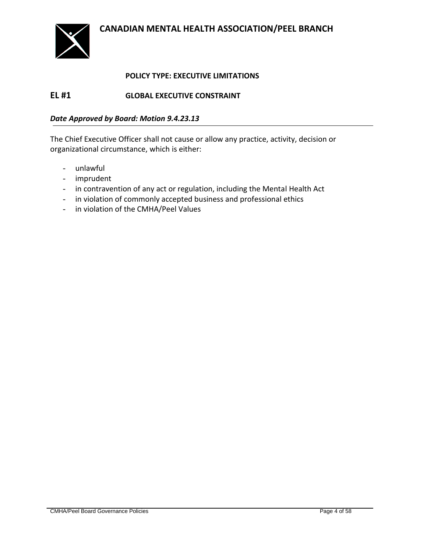

#### **POLICY TYPE: EXECUTIVE LIMITATIONS**

### <span id="page-3-1"></span><span id="page-3-0"></span>**EL #1 GLOBAL EXECUTIVE CONSTRAINT**

#### *Date Approved by Board: Motion 9.4.23.13*

The Chief Executive Officer shall not cause or allow any practice, activity, decision or organizational circumstance, which is either:

- unlawful
- imprudent
- in contravention of any act or regulation, including the Mental Health Act
- in violation of commonly accepted business and professional ethics
- in violation of the CMHA/Peel Values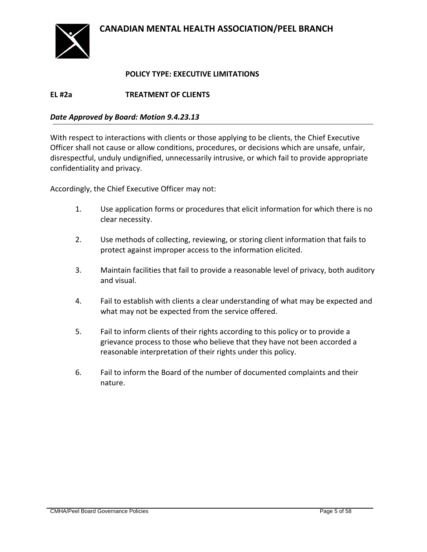

#### **POLICY TYPE: EXECUTIVE LIMITATIONS**

<span id="page-4-0"></span>**EL #2a TREATMENT OF CLIENTS**

#### *Date Approved by Board: Motion 9.4.23.13*

With respect to interactions with clients or those applying to be clients, the Chief Executive Officer shall not cause or allow conditions, procedures, or decisions which are unsafe, unfair, disrespectful, unduly undignified, unnecessarily intrusive, or which fail to provide appropriate confidentiality and privacy.

Accordingly, the Chief Executive Officer may not:

- 1. Use application forms or procedures that elicit information for which there is no clear necessity.
- 2. Use methods of collecting, reviewing, or storing client information that fails to protect against improper access to the information elicited.
- 3. Maintain facilities that fail to provide a reasonable level of privacy, both auditory and visual.
- 4. Fail to establish with clients a clear understanding of what may be expected and what may not be expected from the service offered.
- 5. Fail to inform clients of their rights according to this policy or to provide a grievance process to those who believe that they have not been accorded a reasonable interpretation of their rights under this policy.
- 6. Fail to inform the Board of the number of documented complaints and their nature.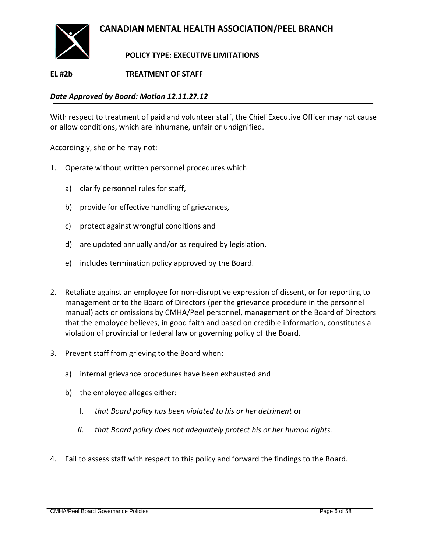

### **POLICY TYPE: EXECUTIVE LIMITATIONS**

### <span id="page-5-0"></span>**EL #2b TREATMENT OF STAFF**

*Date Approved by Board: Motion 12.11.27.12*

With respect to treatment of paid and volunteer staff, the Chief Executive Officer may not cause or allow conditions, which are inhumane, unfair or undignified.

Accordingly, she or he may not:

- 1. Operate without written personnel procedures which
	- a) clarify personnel rules for staff,
	- b) provide for effective handling of grievances,
	- c) protect against wrongful conditions and
	- d) are updated annually and/or as required by legislation.
	- e) includes termination policy approved by the Board.
- 2. Retaliate against an employee for non-disruptive expression of dissent, or for reporting to management or to the Board of Directors (per the grievance procedure in the personnel manual) acts or omissions by CMHA/Peel personnel, management or the Board of Directors that the employee believes, in good faith and based on credible information, constitutes a violation of provincial or federal law or governing policy of the Board.
- 3. Prevent staff from grieving to the Board when:
	- a) internal grievance procedures have been exhausted and
	- b) the employee alleges either:
		- I. *that Board policy has been violated to his or her detriment* or
		- *II. that Board policy does not adequately protect his or her human rights.*
- 4. Fail to assess staff with respect to this policy and forward the findings to the Board.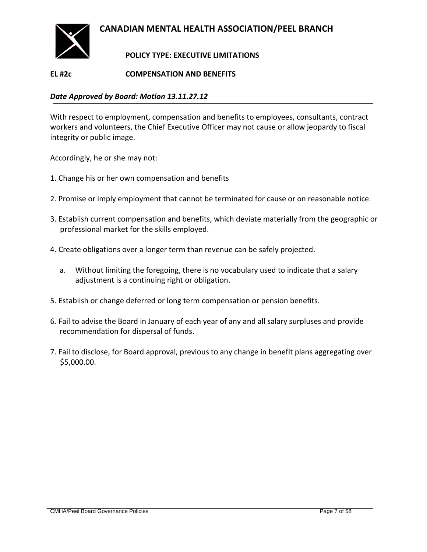

### **POLICY TYPE: EXECUTIVE LIMITATIONS**

### <span id="page-6-0"></span>**EL #2c COMPENSATION AND BENEFITS**

#### *Date Approved by Board: Motion 13.11.27.12*

With respect to employment, compensation and benefits to employees, consultants, contract workers and volunteers, the Chief Executive Officer may not cause or allow jeopardy to fiscal integrity or public image.

Accordingly, he or she may not:

- 1. Change his or her own compensation and benefits
- 2. Promise or imply employment that cannot be terminated for cause or on reasonable notice.
- 3. Establish current compensation and benefits, which deviate materially from the geographic or professional market for the skills employed.
- 4. Create obligations over a longer term than revenue can be safely projected.
	- a. Without limiting the foregoing, there is no vocabulary used to indicate that a salary adjustment is a continuing right or obligation.
- 5. Establish or change deferred or long term compensation or pension benefits.
- 6. Fail to advise the Board in January of each year of any and all salary surpluses and provide recommendation for dispersal of funds.
- 7. Fail to disclose, for Board approval, previous to any change in benefit plans aggregating over \$5,000.00.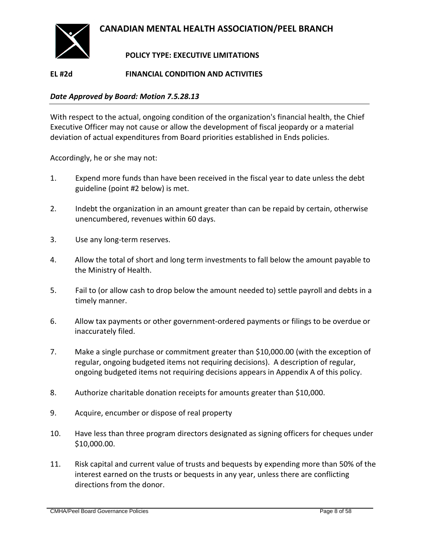

### **POLICY TYPE: EXECUTIVE LIMITATIONS**

### <span id="page-7-0"></span>**EL #2d FINANCIAL CONDITION AND ACTIVITIES**

#### *Date Approved by Board: Motion 7.5.28.13*

With respect to the actual, ongoing condition of the organization's financial health, the Chief Executive Officer may not cause or allow the development of fiscal jeopardy or a material deviation of actual expenditures from Board priorities established in Ends policies.

Accordingly, he or she may not:

- 1. Expend more funds than have been received in the fiscal year to date unless the debt guideline (point #2 below) is met.
- 2. Indebt the organization in an amount greater than can be repaid by certain, otherwise unencumbered, revenues within 60 days.
- 3. Use any long-term reserves.
- 4. Allow the total of short and long term investments to fall below the amount payable to the Ministry of Health.
- 5. Fail to (or allow cash to drop below the amount needed to) settle payroll and debts in a timely manner.
- 6. Allow tax payments or other government-ordered payments or filings to be overdue or inaccurately filed.
- 7. Make a single purchase or commitment greater than \$10,000.00 (with the exception of regular, ongoing budgeted items not requiring decisions). A description of regular, ongoing budgeted items not requiring decisions appears in Appendix A of this policy.
- 8. Authorize charitable donation receipts for amounts greater than \$10,000.
- 9. Acquire, encumber or dispose of real property
- 10. Have less than three program directors designated as signing officers for cheques under \$10,000.00.
- 11. Risk capital and current value of trusts and bequests by expending more than 50% of the interest earned on the trusts or bequests in any year, unless there are conflicting directions from the donor.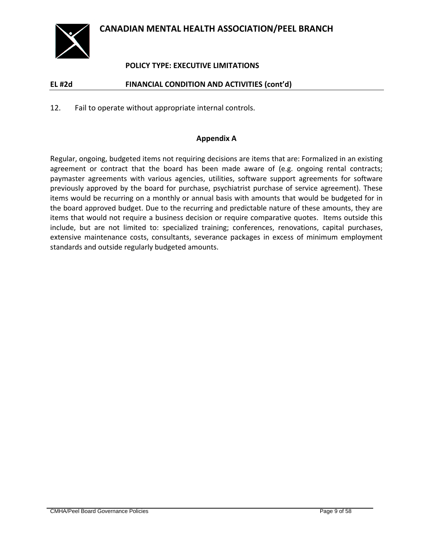

### **POLICY TYPE: EXECUTIVE LIMITATIONS**

### **EL #2d FINANCIAL CONDITION AND ACTIVITIES (cont'd)**

12. Fail to operate without appropriate internal controls.

#### **Appendix A**

Regular, ongoing, budgeted items not requiring decisions are items that are: Formalized in an existing agreement or contract that the board has been made aware of (e.g. ongoing rental contracts; paymaster agreements with various agencies, utilities, software support agreements for software previously approved by the board for purchase, psychiatrist purchase of service agreement). These items would be recurring on a monthly or annual basis with amounts that would be budgeted for in the board approved budget. Due to the recurring and predictable nature of these amounts, they are items that would not require a business decision or require comparative quotes. Items outside this include, but are not limited to: specialized training; conferences, renovations, capital purchases, extensive maintenance costs, consultants, severance packages in excess of minimum employment standards and outside regularly budgeted amounts.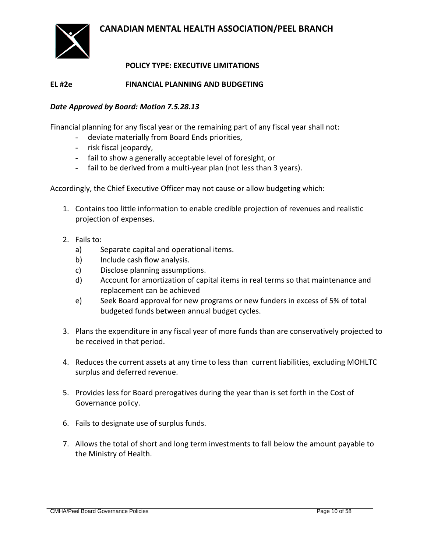

### **POLICY TYPE: EXECUTIVE LIMITATIONS**

### **EL #2e FINANCIAL PLANNING AND BUDGETING**

### *Date Approved by Board: Motion 7.5.28.13*

Financial planning for any fiscal year or the remaining part of any fiscal year shall not:

- deviate materially from Board Ends priorities,
- risk fiscal jeopardy,
- fail to show a generally acceptable level of foresight, or
- fail to be derived from a multi-year plan (not less than 3 years).

Accordingly, the Chief Executive Officer may not cause or allow budgeting which:

- 1. Contains too little information to enable credible projection of revenues and realistic projection of expenses.
- 2. Fails to:
	- a) Separate capital and operational items.
	- b) Include cash flow analysis.
	- c) Disclose planning assumptions.
	- d) Account for amortization of capital items in real terms so that maintenance and replacement can be achieved
	- e) Seek Board approval for new programs or new funders in excess of 5% of total budgeted funds between annual budget cycles.
- 3. Plans the expenditure in any fiscal year of more funds than are conservatively projected to be received in that period.
- 4. Reduces the current assets at any time to less than current liabilities, excluding MOHLTC surplus and deferred revenue.
- 5. Provides less for Board prerogatives during the year than is set forth in the Cost of Governance policy.
- 6. Fails to designate use of surplus funds.
- 7. Allows the total of short and long term investments to fall below the amount payable to the Ministry of Health.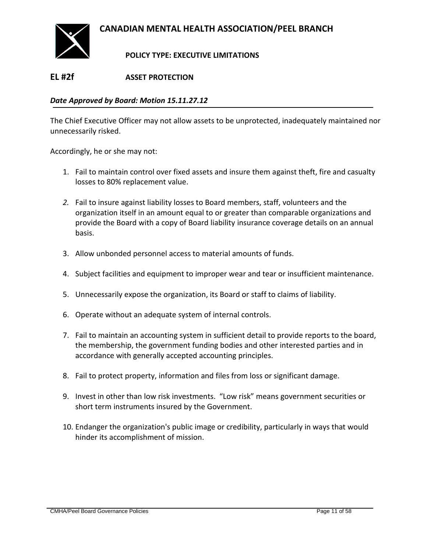

### **POLICY TYPE: EXECUTIVE LIMITATIONS**

### <span id="page-10-0"></span>**EL #2f ASSET PROTECTION**

#### *Date Approved by Board: Motion 15.11.27.12*

The Chief Executive Officer may not allow assets to be unprotected, inadequately maintained nor unnecessarily risked.

Accordingly, he or she may not:

- 1. Fail to maintain control over fixed assets and insure them against theft, fire and casualty losses to 80% replacement value.
- *2.* Fail to insure against liability losses to Board members, staff, volunteers and the organization itself in an amount equal to or greater than comparable organizations and provide the Board with a copy of Board liability insurance coverage details on an annual basis.
- 3. Allow unbonded personnel access to material amounts of funds.
- 4. Subject facilities and equipment to improper wear and tear or insufficient maintenance.
- 5. Unnecessarily expose the organization, its Board or staff to claims of liability.
- 6. Operate without an adequate system of internal controls.
- 7. Fail to maintain an accounting system in sufficient detail to provide reports to the board, the membership, the government funding bodies and other interested parties and in accordance with generally accepted accounting principles.
- 8. Fail to protect property, information and files from loss or significant damage.
- 9. Invest in other than low risk investments. "Low risk" means government securities or short term instruments insured by the Government.
- 10. Endanger the organization's public image or credibility, particularly in ways that would hinder its accomplishment of mission.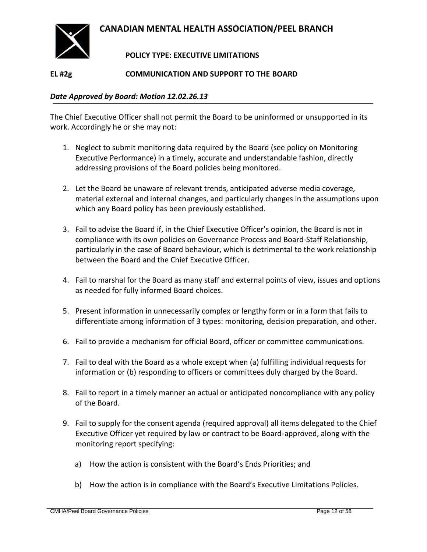

### **POLICY TYPE: EXECUTIVE LIMITATIONS**

### <span id="page-11-0"></span>**EL #2g COMMUNICATION AND SUPPORT TO THE BOARD**

#### *Date Approved by Board: Motion 12.02.26.13*

The Chief Executive Officer shall not permit the Board to be uninformed or unsupported in its work. Accordingly he or she may not:

- 1. Neglect to submit monitoring data required by the Board (see policy on Monitoring Executive Performance) in a timely, accurate and understandable fashion, directly addressing provisions of the Board policies being monitored.
- 2. Let the Board be unaware of relevant trends, anticipated adverse media coverage, material external and internal changes, and particularly changes in the assumptions upon which any Board policy has been previously established.
- 3. Fail to advise the Board if, in the Chief Executive Officer's opinion, the Board is not in compliance with its own policies on Governance Process and Board-Staff Relationship, particularly in the case of Board behaviour, which is detrimental to the work relationship between the Board and the Chief Executive Officer.
- 4. Fail to marshal for the Board as many staff and external points of view, issues and options as needed for fully informed Board choices.
- 5. Present information in unnecessarily complex or lengthy form or in a form that fails to differentiate among information of 3 types: monitoring, decision preparation, and other.
- 6. Fail to provide a mechanism for official Board, officer or committee communications.
- 7. Fail to deal with the Board as a whole except when (a) fulfilling individual requests for information or (b) responding to officers or committees duly charged by the Board.
- 8. Fail to report in a timely manner an actual or anticipated noncompliance with any policy of the Board.
- 9. Fail to supply for the consent agenda (required approval) all items delegated to the Chief Executive Officer yet required by law or contract to be Board-approved, along with the monitoring report specifying:
	- a) How the action is consistent with the Board's Ends Priorities; and
	- b) How the action is in compliance with the Board's Executive Limitations Policies.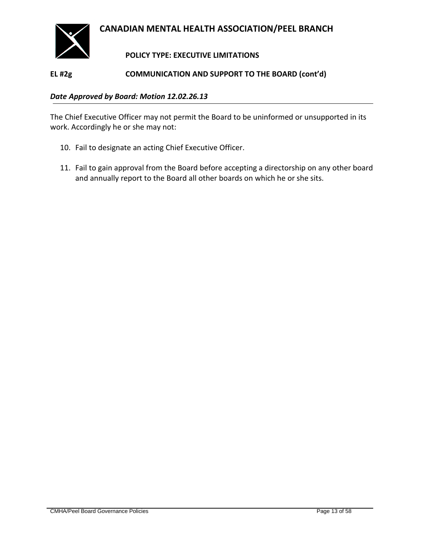

### **POLICY TYPE: EXECUTIVE LIMITATIONS**

#### **EL #2g COMMUNICATION AND SUPPORT TO THE BOARD (cont'd)**

#### *Date Approved by Board: Motion 12.02.26.13*

The Chief Executive Officer may not permit the Board to be uninformed or unsupported in its work. Accordingly he or she may not:

- 10. Fail to designate an acting Chief Executive Officer.
- 11. Fail to gain approval from the Board before accepting a directorship on any other board and annually report to the Board all other boards on which he or she sits.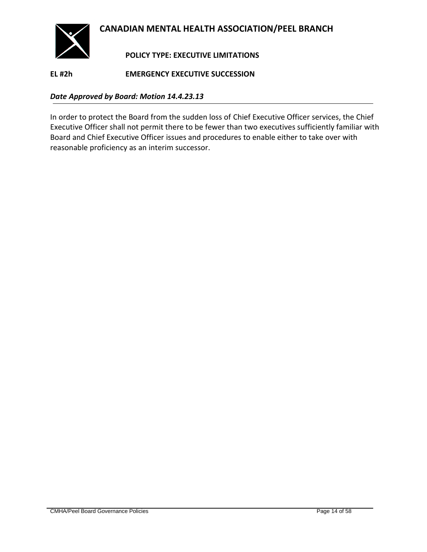

### **POLICY TYPE: EXECUTIVE LIMITATIONS**

<span id="page-13-0"></span>**EL #2h EMERGENCY EXECUTIVE SUCCESSION**

#### *Date Approved by Board: Motion 14.4.23.13*

In order to protect the Board from the sudden loss of Chief Executive Officer services, the Chief Executive Officer shall not permit there to be fewer than two executives sufficiently familiar with Board and Chief Executive Officer issues and procedures to enable either to take over with reasonable proficiency as an interim successor.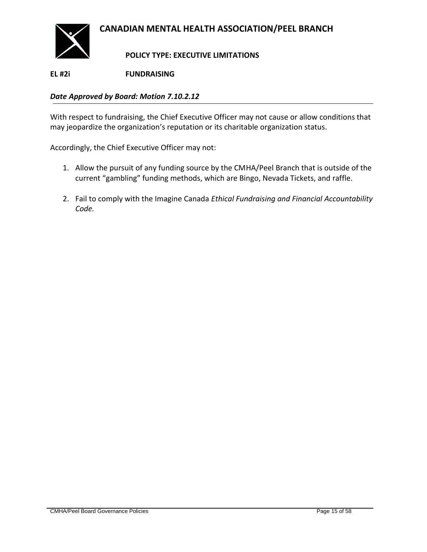

**POLICY TYPE: EXECUTIVE LIMITATIONS**

<span id="page-14-0"></span>**EL #2i FUNDRAISING**

### *Date Approved by Board: Motion 7.10.2.12*

With respect to fundraising, the Chief Executive Officer may not cause or allow conditions that may jeopardize the organization's reputation or its charitable organization status.

Accordingly, the Chief Executive Officer may not:

- 1. Allow the pursuit of any funding source by the CMHA/Peel Branch that is outside of the current "gambling" funding methods, which are Bingo, Nevada Tickets, and raffle.
- 2. Fail to comply with the Imagine Canada *Ethical Fundraising and Financial Accountability Code.*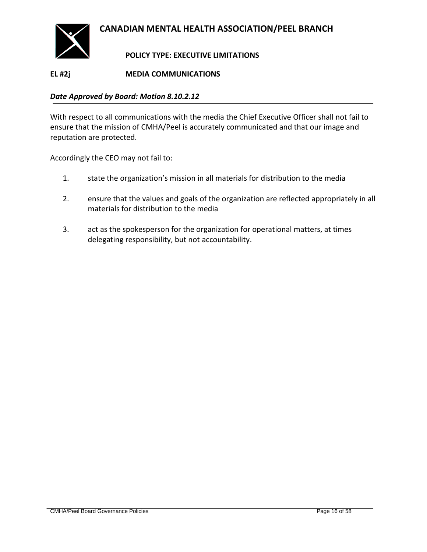

### **POLICY TYPE: EXECUTIVE LIMITATIONS**

### <span id="page-15-0"></span>**EL #2j MEDIA COMMUNICATIONS**

#### *Date Approved by Board: Motion 8.10.2.12*

With respect to all communications with the media the Chief Executive Officer shall not fail to ensure that the mission of CMHA/Peel is accurately communicated and that our image and reputation are protected.

Accordingly the CEO may not fail to:

- 1. state the organization's mission in all materials for distribution to the media
- 2. ensure that the values and goals of the organization are reflected appropriately in all materials for distribution to the media
- 3. act as the spokesperson for the organization for operational matters, at times delegating responsibility, but not accountability.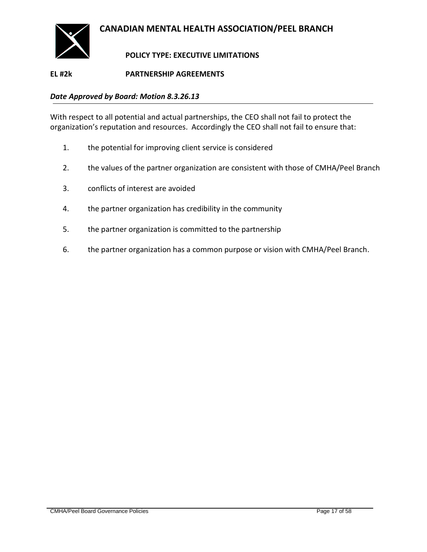

### **POLICY TYPE: EXECUTIVE LIMITATIONS**

### <span id="page-16-0"></span>**EL #2k PARTNERSHIP AGREEMENTS**

#### *Date Approved by Board: Motion 8.3.26.13*

With respect to all potential and actual partnerships, the CEO shall not fail to protect the organization's reputation and resources. Accordingly the CEO shall not fail to ensure that:

- 1. the potential for improving client service is considered
- 2. the values of the partner organization are consistent with those of CMHA/Peel Branch
- 3. conflicts of interest are avoided
- 4. the partner organization has credibility in the community
- 5. the partner organization is committed to the partnership
- 6. the partner organization has a common purpose or vision with CMHA/Peel Branch.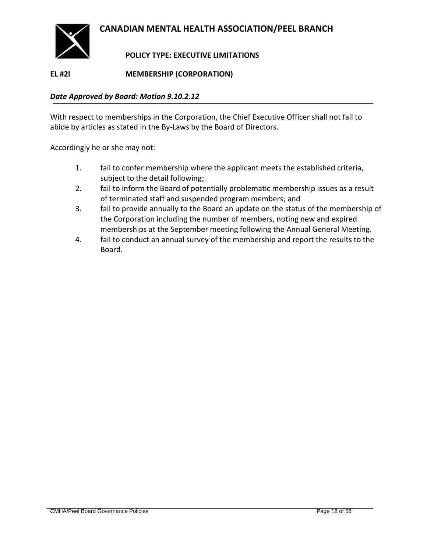

### **POLICY TYPE: EXECUTIVE LIMITATIONS**

<span id="page-17-0"></span>**EL #2l MEMBERSHIP (CORPORATION)**

#### *Date Approved by Board: Motion 9.10.2.12*

With respect to memberships in the Corporation, the Chief Executive Officer shall not fail to abide by articles as stated in the By-Laws by the Board of Directors.

Accordingly he or she may not:

- 1. fail to confer membership where the applicant meets the established criteria, subject to the detail following;
- 2. fail to inform the Board of potentially problematic membership issues as a result of terminated staff and suspended program members; and
- 3. fail to provide annually to the Board an update on the status of the membership of the Corporation including the number of members, noting new and expired memberships at the September meeting following the Annual General Meeting.
- 4. fail to conduct an annual survey of the membership and report the results to the Board.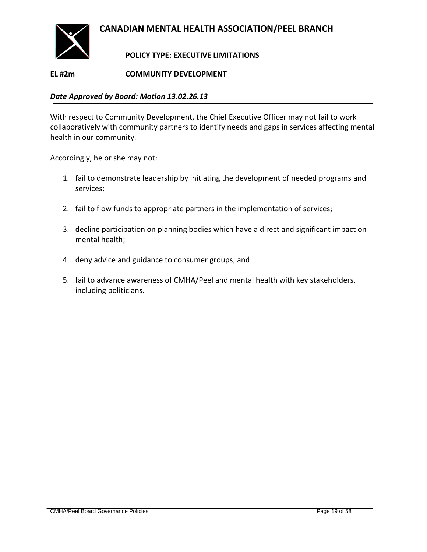

### **POLICY TYPE: EXECUTIVE LIMITATIONS**

### <span id="page-18-0"></span>**EL #2m COMMUNITY DEVELOPMENT**

#### *Date Approved by Board: Motion 13.02.26.13*

With respect to Community Development, the Chief Executive Officer may not fail to work collaboratively with community partners to identify needs and gaps in services affecting mental health in our community.

Accordingly, he or she may not:

- 1. fail to demonstrate leadership by initiating the development of needed programs and services;
- 2. fail to flow funds to appropriate partners in the implementation of services;
- 3. decline participation on planning bodies which have a direct and significant impact on mental health;
- 4. deny advice and guidance to consumer groups; and
- 5. fail to advance awareness of CMHA/Peel and mental health with key stakeholders, including politicians.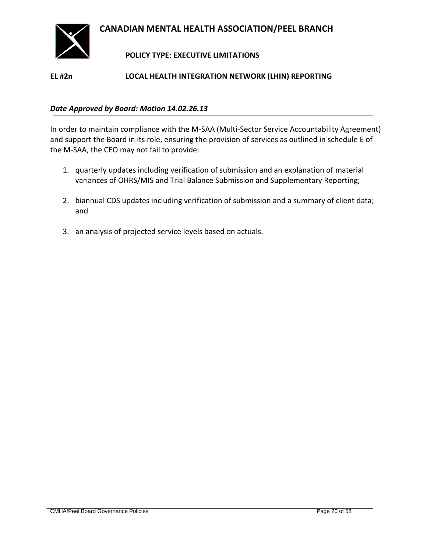

### **POLICY TYPE: EXECUTIVE LIMITATIONS**

### <span id="page-19-0"></span>**EL #2n LOCAL HEALTH INTEGRATION NETWORK (LHIN) REPORTING**

#### *Date Approved by Board: Motion 14.02.26.13*

In order to maintain compliance with the M-SAA (Multi-Sector Service Accountability Agreement) and support the Board in its role, ensuring the provision of services as outlined in schedule E of the M-SAA, the CEO may not fail to provide:

- 1. quarterly updates including verification of submission and an explanation of material variances of OHRS/MIS and Trial Balance Submission and Supplementary Reporting;
- 2. biannual CDS updates including verification of submission and a summary of client data; and
- 3. an analysis of projected service levels based on actuals.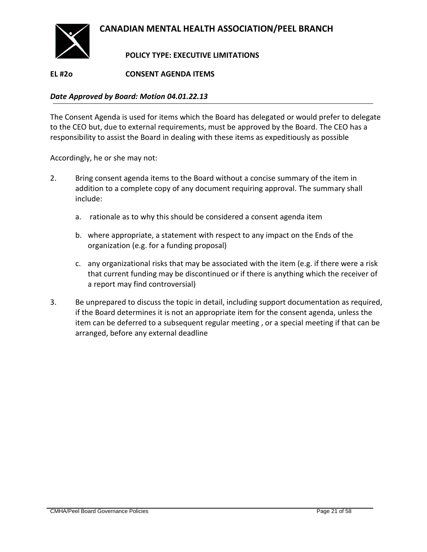

### **POLICY TYPE: EXECUTIVE LIMITATIONS**

### <span id="page-20-0"></span>**EL #2o CONSENT AGENDA ITEMS**

#### *Date Approved by Board: Motion 04.01.22.13*

The Consent Agenda is used for items which the Board has delegated or would prefer to delegate to the CEO but, due to external requirements, must be approved by the Board. The CEO has a responsibility to assist the Board in dealing with these items as expeditiously as possible

Accordingly, he or she may not:

- 2. Bring consent agenda items to the Board without a concise summary of the item in addition to a complete copy of any document requiring approval. The summary shall include:
	- a. rationale as to why this should be considered a consent agenda item
	- b. where appropriate, a statement with respect to any impact on the Ends of the organization (e.g. for a funding proposal)
	- c. any organizational risks that may be associated with the item (e.g. if there were a risk that current funding may be discontinued or if there is anything which the receiver of a report may find controversial)
- 3. Be unprepared to discuss the topic in detail, including support documentation as required, if the Board determines it is not an appropriate item for the consent agenda, unless the item can be deferred to a subsequent regular meeting , or a special meeting if that can be arranged, before any external deadline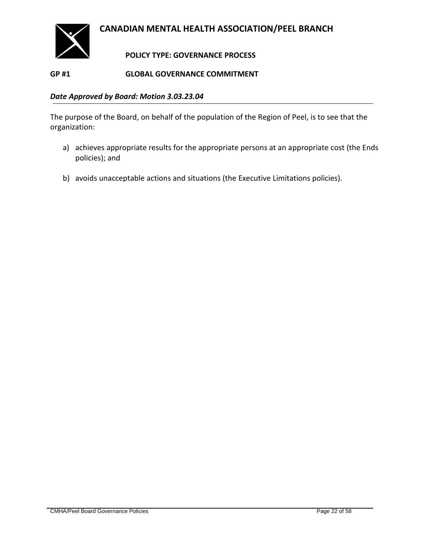

### **POLICY TYPE: GOVERNANCE PROCESS**

### <span id="page-21-1"></span><span id="page-21-0"></span>**GP #1 GLOBAL GOVERNANCE COMMITMENT**

#### *Date Approved by Board: Motion 3.03.23.04*

The purpose of the Board, on behalf of the population of the Region of Peel, is to see that the organization:

- a) achieves appropriate results for the appropriate persons at an appropriate cost (the Ends policies); and
- b) avoids unacceptable actions and situations (the Executive Limitations policies).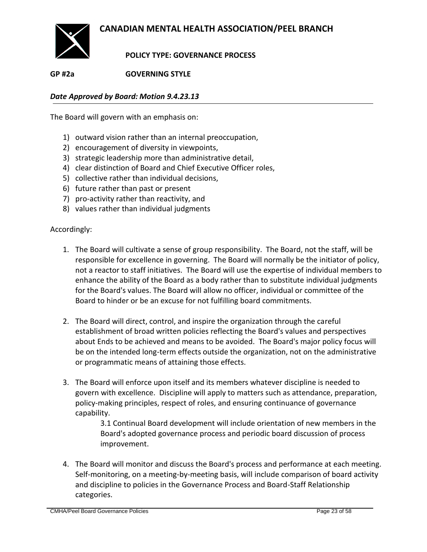

**POLICY TYPE: GOVERNANCE PROCESS**

<span id="page-22-0"></span>**GP #2a GOVERNING STYLE**

*Date Approved by Board: Motion 9.4.23.13*

The Board will govern with an emphasis on:

- 1) outward vision rather than an internal preoccupation,
- 2) encouragement of diversity in viewpoints,
- 3) strategic leadership more than administrative detail,
- 4) clear distinction of Board and Chief Executive Officer roles,
- 5) collective rather than individual decisions,
- 6) future rather than past or present
- 7) pro-activity rather than reactivity, and
- 8) values rather than individual judgments

Accordingly:

- 1. The Board will cultivate a sense of group responsibility. The Board, not the staff, will be responsible for excellence in governing. The Board will normally be the initiator of policy, not a reactor to staff initiatives. The Board will use the expertise of individual members to enhance the ability of the Board as a body rather than to substitute individual judgments for the Board's values. The Board will allow no officer, individual or committee of the Board to hinder or be an excuse for not fulfilling board commitments.
- 2. The Board will direct, control, and inspire the organization through the careful establishment of broad written policies reflecting the Board's values and perspectives about Ends to be achieved and means to be avoided. The Board's major policy focus will be on the intended long-term effects outside the organization, not on the administrative or programmatic means of attaining those effects.
- 3. The Board will enforce upon itself and its members whatever discipline is needed to govern with excellence. Discipline will apply to matters such as attendance, preparation, policy-making principles, respect of roles, and ensuring continuance of governance capability.

3.1 Continual Board development will include orientation of new members in the Board's adopted governance process and periodic board discussion of process improvement.

4. The Board will monitor and discuss the Board's process and performance at each meeting. Self-monitoring, on a meeting-by-meeting basis, will include comparison of board activity and discipline to policies in the Governance Process and Board-Staff Relationship categories.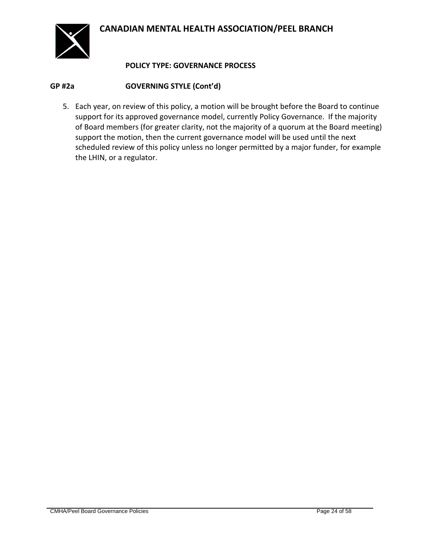

### **POLICY TYPE: GOVERNANCE PROCESS**

### **GP #2a GOVERNING STYLE (Cont'd)**

5. Each year, on review of this policy, a motion will be brought before the Board to continue support for its approved governance model, currently Policy Governance. If the majority of Board members (for greater clarity, not the majority of a quorum at the Board meeting) support the motion, then the current governance model will be used until the next scheduled review of this policy unless no longer permitted by a major funder, for example the LHIN, or a regulator.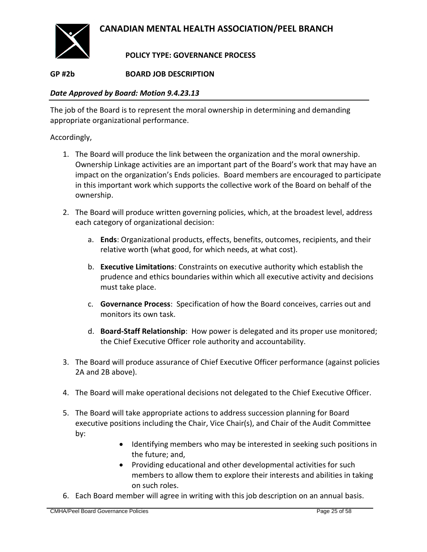

### **POLICY TYPE: GOVERNANCE PROCESS**

### <span id="page-24-0"></span>**GP #2b BOARD JOB DESCRIPTION**

#### *Date Approved by Board: Motion 9.4.23.13*

The job of the Board is to represent the moral ownership in determining and demanding appropriate organizational performance.

- 1. The Board will produce the link between the organization and the moral ownership. Ownership Linkage activities are an important part of the Board's work that may have an impact on the organization's Ends policies. Board members are encouraged to participate in this important work which supports the collective work of the Board on behalf of the ownership.
- 2. The Board will produce written governing policies, which, at the broadest level, address each category of organizational decision:
	- a. **Ends**: Organizational products, effects, benefits, outcomes, recipients, and their relative worth (what good, for which needs, at what cost).
	- b. **Executive Limitations**: Constraints on executive authority which establish the prudence and ethics boundaries within which all executive activity and decisions must take place.
	- c. **Governance Process**: Specification of how the Board conceives, carries out and monitors its own task.
	- d. **Board-Staff Relationship**: How power is delegated and its proper use monitored; the Chief Executive Officer role authority and accountability.
- 3. The Board will produce assurance of Chief Executive Officer performance (against policies 2A and 2B above).
- 4. The Board will make operational decisions not delegated to the Chief Executive Officer.
- 5. The Board will take appropriate actions to address succession planning for Board executive positions including the Chair, Vice Chair(s), and Chair of the Audit Committee by:
	- Identifying members who may be interested in seeking such positions in the future; and,
	- Providing educational and other developmental activities for such members to allow them to explore their interests and abilities in taking on such roles.
- 6. Each Board member will agree in writing with this job description on an annual basis.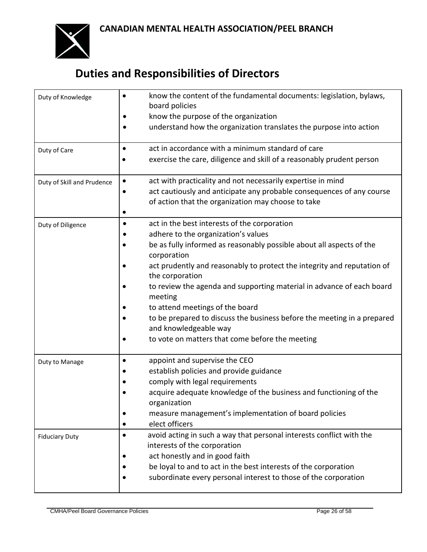

## **Duties and Responsibilities of Directors**

| Duty of Knowledge          | know the content of the fundamental documents: legislation, bylaws,<br>board policies                                       |  |  |  |
|----------------------------|-----------------------------------------------------------------------------------------------------------------------------|--|--|--|
|                            | know the purpose of the organization                                                                                        |  |  |  |
|                            | understand how the organization translates the purpose into action                                                          |  |  |  |
| Duty of Care               | act in accordance with a minimum standard of care<br>٠                                                                      |  |  |  |
|                            | exercise the care, diligence and skill of a reasonably prudent person                                                       |  |  |  |
| Duty of Skill and Prudence | act with practicality and not necessarily expertise in mind<br>$\bullet$                                                    |  |  |  |
|                            | act cautiously and anticipate any probable consequences of any course<br>of action that the organization may choose to take |  |  |  |
|                            |                                                                                                                             |  |  |  |
| Duty of Diligence          | act in the best interests of the corporation<br>٠                                                                           |  |  |  |
|                            | adhere to the organization's values                                                                                         |  |  |  |
|                            | be as fully informed as reasonably possible about all aspects of the<br>corporation                                         |  |  |  |
|                            | act prudently and reasonably to protect the integrity and reputation of<br>the corporation                                  |  |  |  |
|                            | to review the agenda and supporting material in advance of each board<br>meeting                                            |  |  |  |
|                            | to attend meetings of the board                                                                                             |  |  |  |
|                            | to be prepared to discuss the business before the meeting in a prepared<br>and knowledgeable way                            |  |  |  |
|                            | to vote on matters that come before the meeting                                                                             |  |  |  |
| Duty to Manage             | appoint and supervise the CEO<br>٠                                                                                          |  |  |  |
|                            | establish policies and provide guidance                                                                                     |  |  |  |
|                            | comply with legal requirements                                                                                              |  |  |  |
|                            | acquire adequate knowledge of the business and functioning of the<br>organization                                           |  |  |  |
|                            | measure management's implementation of board policies                                                                       |  |  |  |
|                            | elect officers                                                                                                              |  |  |  |
| <b>Fiduciary Duty</b>      | avoid acting in such a way that personal interests conflict with the<br>$\bullet$<br>interests of the corporation           |  |  |  |
|                            | act honestly and in good faith                                                                                              |  |  |  |
|                            | be loyal to and to act in the best interests of the corporation                                                             |  |  |  |
|                            | subordinate every personal interest to those of the corporation                                                             |  |  |  |
|                            |                                                                                                                             |  |  |  |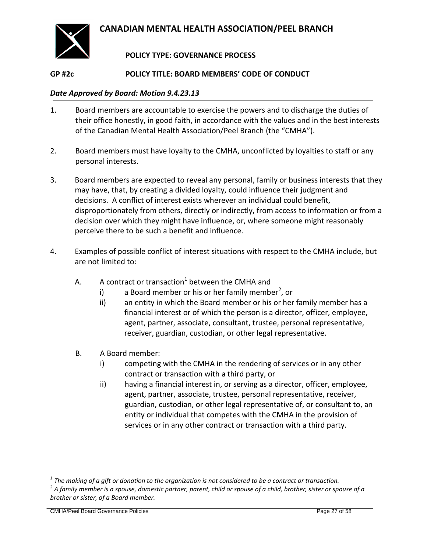

### **POLICY TYPE: GOVERNANCE PROCESS**

#### <span id="page-26-0"></span>**GP #2c POLICY TITLE: BOARD MEMBERS' CODE OF CONDUCT**

#### *Date Approved by Board: Motion 9.4.23.13*

- 1. Board members are accountable to exercise the powers and to discharge the duties of their office honestly, in good faith, in accordance with the values and in the best interests of the Canadian Mental Health Association/Peel Branch (the "CMHA").
- 2. Board members must have loyalty to the CMHA, unconflicted by loyalties to staff or any personal interests.
- 3. Board members are expected to reveal any personal, family or business interests that they may have, that, by creating a divided loyalty, could influence their judgment and decisions. A conflict of interest exists wherever an individual could benefit, disproportionately from others, directly or indirectly, from access to information or from a decision over which they might have influence, or, where someone might reasonably perceive there to be such a benefit and influence.
- 4. Examples of possible conflict of interest situations with respect to the CMHA include, but are not limited to:
	- A.  $\quad$  A contract or transaction<sup>1</sup> between the CMHA and
		- i) a Board member or his or her family member<sup>2</sup>, or
		- ii) an entity in which the Board member or his or her family member has a financial interest or of which the person is a director, officer, employee, agent, partner, associate, consultant, trustee, personal representative, receiver, guardian, custodian, or other legal representative.
	- B. A Board member:
		- i) competing with the CMHA in the rendering of services or in any other contract or transaction with a third party, or
		- ii) having a financial interest in, or serving as a director, officer, employee, agent, partner, associate, trustee, personal representative, receiver, guardian, custodian, or other legal representative of, or consultant to, an entity or individual that competes with the CMHA in the provision of services or in any other contract or transaction with a third party.

 $\overline{a}$ 

*<sup>1</sup> The making of a gift or donation to the organization is not considered to be a contract or transaction.*

*<sup>2</sup> A family member is a spouse, domestic partner, parent, child or spouse of a child, brother, sister or spouse of a brother or sister, of a Board member.*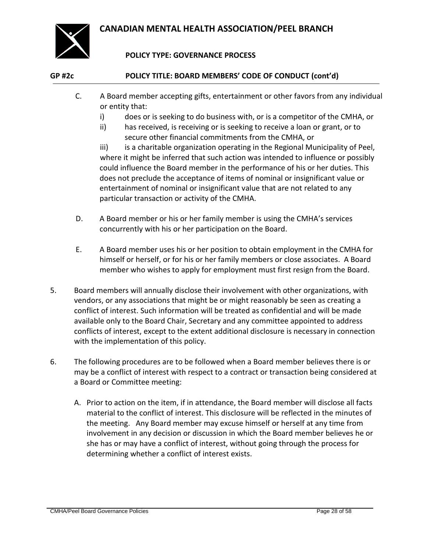

### **POLICY TYPE: GOVERNANCE PROCESS**

### **GP #2c POLICY TITLE: BOARD MEMBERS' CODE OF CONDUCT (cont'd)**

- C. A Board member accepting gifts, entertainment or other favors from any individual or entity that:
	- i) does or is seeking to do business with, or is a competitor of the CMHA, or
	- ii) has received, is receiving or is seeking to receive a loan or grant, or to secure other financial commitments from the CMHA, or

iii) is a charitable organization operating in the Regional Municipality of Peel, where it might be inferred that such action was intended to influence or possibly could influence the Board member in the performance of his or her duties. This does not preclude the acceptance of items of nominal or insignificant value or entertainment of nominal or insignificant value that are not related to any particular transaction or activity of the CMHA.

- D. A Board member or his or her family member is using the CMHA's services concurrently with his or her participation on the Board.
- E. A Board member uses his or her position to obtain employment in the CMHA for himself or herself, or for his or her family members or close associates. A Board member who wishes to apply for employment must first resign from the Board.
- 5. Board members will annually disclose their involvement with other organizations, with vendors, or any associations that might be or might reasonably be seen as creating a conflict of interest. Such information will be treated as confidential and will be made available only to the Board Chair, Secretary and any committee appointed to address conflicts of interest, except to the extent additional disclosure is necessary in connection with the implementation of this policy.
- 6. The following procedures are to be followed when a Board member believes there is or may be a conflict of interest with respect to a contract or transaction being considered at a Board or Committee meeting:
	- A. Prior to action on the item, if in attendance, the Board member will disclose all facts material to the conflict of interest. This disclosure will be reflected in the minutes of the meeting. Any Board member may excuse himself or herself at any time from involvement in any decision or discussion in which the Board member believes he or she has or may have a conflict of interest, without going through the process for determining whether a conflict of interest exists.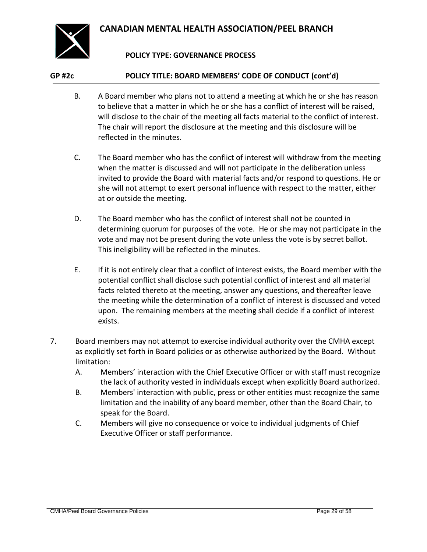

### **POLICY TYPE: GOVERNANCE PROCESS**

#### **GP #2c POLICY TITLE: BOARD MEMBERS' CODE OF CONDUCT (cont'd)**

- B. A Board member who plans not to attend a meeting at which he or she has reason to believe that a matter in which he or she has a conflict of interest will be raised, will disclose to the chair of the meeting all facts material to the conflict of interest. The chair will report the disclosure at the meeting and this disclosure will be reflected in the minutes.
- C. The Board member who has the conflict of interest will withdraw from the meeting when the matter is discussed and will not participate in the deliberation unless invited to provide the Board with material facts and/or respond to questions. He or she will not attempt to exert personal influence with respect to the matter, either at or outside the meeting.
- D. The Board member who has the conflict of interest shall not be counted in determining quorum for purposes of the vote. He or she may not participate in the vote and may not be present during the vote unless the vote is by secret ballot. This ineligibility will be reflected in the minutes.
- E. If it is not entirely clear that a conflict of interest exists, the Board member with the potential conflict shall disclose such potential conflict of interest and all material facts related thereto at the meeting, answer any questions, and thereafter leave the meeting while the determination of a conflict of interest is discussed and voted upon. The remaining members at the meeting shall decide if a conflict of interest exists.
- 7. Board members may not attempt to exercise individual authority over the CMHA except as explicitly set forth in Board policies or as otherwise authorized by the Board. Without limitation:
	- A. Members' interaction with the Chief Executive Officer or with staff must recognize the lack of authority vested in individuals except when explicitly Board authorized.
	- B. Members' interaction with public, press or other entities must recognize the same limitation and the inability of any board member, other than the Board Chair, to speak for the Board.
	- C. Members will give no consequence or voice to individual judgments of Chief Executive Officer or staff performance.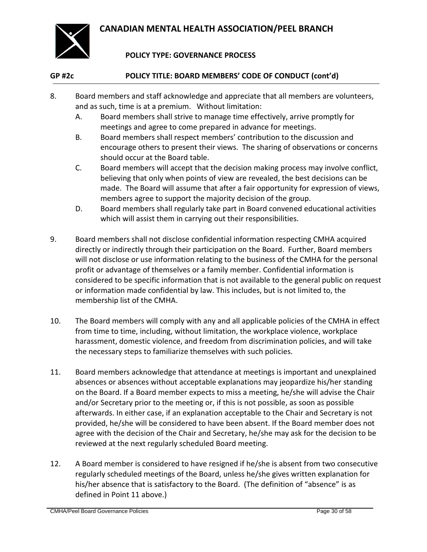

### **POLICY TYPE: GOVERNANCE PROCESS**

### **GP #2c POLICY TITLE: BOARD MEMBERS' CODE OF CONDUCT (cont'd)**

- 8. Board members and staff acknowledge and appreciate that all members are volunteers, and as such, time is at a premium. Without limitation:
	- A. Board members shall strive to manage time effectively, arrive promptly for meetings and agree to come prepared in advance for meetings.
	- B. Board members shall respect members' contribution to the discussion and encourage others to present their views. The sharing of observations or concerns should occur at the Board table.
	- C. Board members will accept that the decision making process may involve conflict, believing that only when points of view are revealed, the best decisions can be made. The Board will assume that after a fair opportunity for expression of views, members agree to support the majority decision of the group.
	- D. Board members shall regularly take part in Board convened educational activities which will assist them in carrying out their responsibilities.
- 9. Board members shall not disclose confidential information respecting CMHA acquired directly or indirectly through their participation on the Board. Further, Board members will not disclose or use information relating to the business of the CMHA for the personal profit or advantage of themselves or a family member. Confidential information is considered to be specific information that is not available to the general public on request or information made confidential by law. This includes, but is not limited to, the membership list of the CMHA.
- 10. The Board members will comply with any and all applicable policies of the CMHA in effect from time to time, including, without limitation, the workplace violence, workplace harassment, domestic violence, and freedom from discrimination policies, and will take the necessary steps to familiarize themselves with such policies.
- 11. Board members acknowledge that attendance at meetings is important and unexplained absences or absences without acceptable explanations may jeopardize his/her standing on the Board. If a Board member expects to miss a meeting, he/she will advise the Chair and/or Secretary prior to the meeting or, if this is not possible, as soon as possible afterwards. In either case, if an explanation acceptable to the Chair and Secretary is not provided, he/she will be considered to have been absent. If the Board member does not agree with the decision of the Chair and Secretary, he/she may ask for the decision to be reviewed at the next regularly scheduled Board meeting.
- 12. A Board member is considered to have resigned if he/she is absent from two consecutive regularly scheduled meetings of the Board, unless he/she gives written explanation for his/her absence that is satisfactory to the Board. (The definition of "absence" is as defined in Point 11 above.)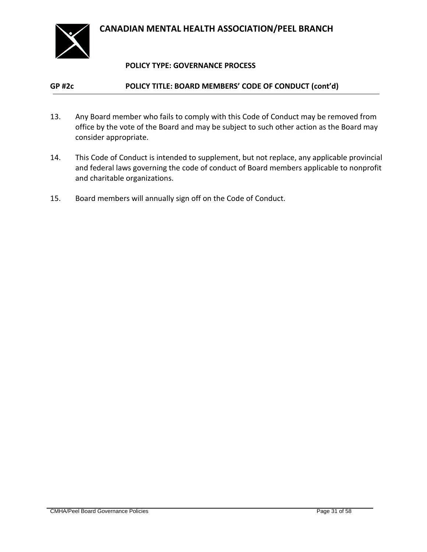

### **POLICY TYPE: GOVERNANCE PROCESS**

### **GP #2c POLICY TITLE: BOARD MEMBERS' CODE OF CONDUCT (cont'd)**

- 13. Any Board member who fails to comply with this Code of Conduct may be removed from office by the vote of the Board and may be subject to such other action as the Board may consider appropriate.
- 14. This Code of Conduct is intended to supplement, but not replace, any applicable provincial and federal laws governing the code of conduct of Board members applicable to nonprofit and charitable organizations.
- 15. Board members will annually sign off on the Code of Conduct.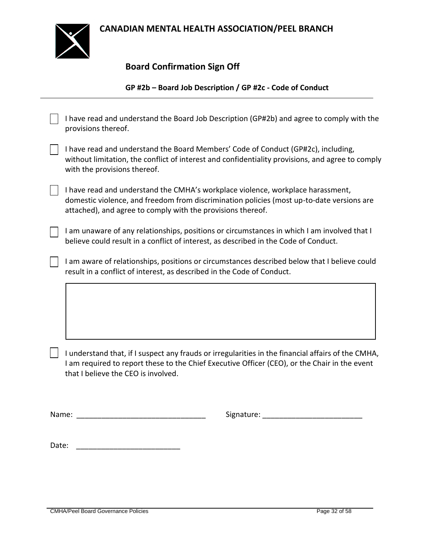

### **Board Confirmation Sign Off**

### **GP #2b – Board Job Description / GP #2c - Code of Conduct**

| provisions thereof.                                                                                                                                                                                                                        | I have read and understand the Board Job Description (GP#2b) and agree to comply with the                                                                                                                                                   |  |  |  |  |  |
|--------------------------------------------------------------------------------------------------------------------------------------------------------------------------------------------------------------------------------------------|---------------------------------------------------------------------------------------------------------------------------------------------------------------------------------------------------------------------------------------------|--|--|--|--|--|
| with the provisions thereof.                                                                                                                                                                                                               | I have read and understand the Board Members' Code of Conduct (GP#2c), including,<br>without limitation, the conflict of interest and confidentiality provisions, and agree to comply                                                       |  |  |  |  |  |
|                                                                                                                                                                                                                                            | I have read and understand the CMHA's workplace violence, workplace harassment,<br>domestic violence, and freedom from discrimination policies (most up-to-date versions are<br>attached), and agree to comply with the provisions thereof. |  |  |  |  |  |
| I am unaware of any relationships, positions or circumstances in which I am involved that I<br>believe could result in a conflict of interest, as described in the Code of Conduct.                                                        |                                                                                                                                                                                                                                             |  |  |  |  |  |
|                                                                                                                                                                                                                                            | I am aware of relationships, positions or circumstances described below that I believe could<br>result in a conflict of interest, as described in the Code of Conduct.                                                                      |  |  |  |  |  |
|                                                                                                                                                                                                                                            |                                                                                                                                                                                                                                             |  |  |  |  |  |
| I understand that, if I suspect any frauds or irregularities in the financial affairs of the CMHA,<br>I am required to report these to the Chief Executive Officer (CEO), or the Chair in the event<br>that I believe the CEO is involved. |                                                                                                                                                                                                                                             |  |  |  |  |  |
| Name:                                                                                                                                                                                                                                      | Signature:                                                                                                                                                                                                                                  |  |  |  |  |  |
| Date:                                                                                                                                                                                                                                      |                                                                                                                                                                                                                                             |  |  |  |  |  |
|                                                                                                                                                                                                                                            |                                                                                                                                                                                                                                             |  |  |  |  |  |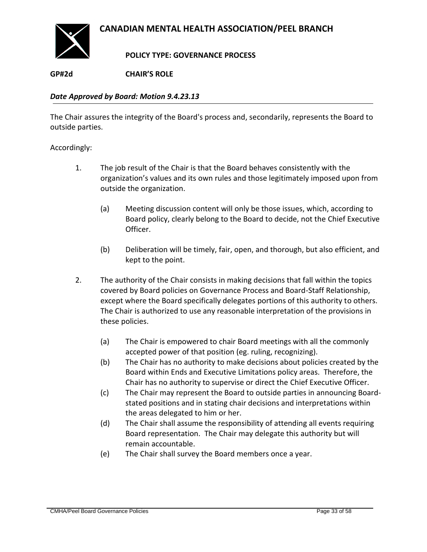

**POLICY TYPE: GOVERNANCE PROCESS**

<span id="page-32-0"></span>**GP#2d CHAIR'S ROLE**

### *Date Approved by Board: Motion 9.4.23.13*

The Chair assures the integrity of the Board's process and, secondarily, represents the Board to outside parties.

- 1. The job result of the Chair is that the Board behaves consistently with the organization's values and its own rules and those legitimately imposed upon from outside the organization.
	- (a) Meeting discussion content will only be those issues, which, according to Board policy, clearly belong to the Board to decide, not the Chief Executive Officer.
	- (b) Deliberation will be timely, fair, open, and thorough, but also efficient, and kept to the point.
- 2. The authority of the Chair consists in making decisions that fall within the topics covered by Board policies on Governance Process and Board-Staff Relationship, except where the Board specifically delegates portions of this authority to others. The Chair is authorized to use any reasonable interpretation of the provisions in these policies.
	- (a) The Chair is empowered to chair Board meetings with all the commonly accepted power of that position (eg. ruling, recognizing).
	- (b) The Chair has no authority to make decisions about policies created by the Board within Ends and Executive Limitations policy areas. Therefore, the Chair has no authority to supervise or direct the Chief Executive Officer.
	- (c) The Chair may represent the Board to outside parties in announcing Boardstated positions and in stating chair decisions and interpretations within the areas delegated to him or her.
	- (d) The Chair shall assume the responsibility of attending all events requiring Board representation. The Chair may delegate this authority but will remain accountable.
	- (e) The Chair shall survey the Board members once a year.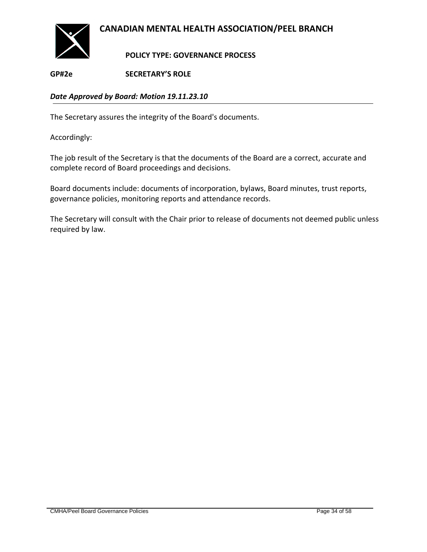

**POLICY TYPE: GOVERNANCE PROCESS**

<span id="page-33-0"></span>**GP#2e SECRETARY'S ROLE**

### *Date Approved by Board: Motion 19.11.23.10*

The Secretary assures the integrity of the Board's documents.

Accordingly:

The job result of the Secretary is that the documents of the Board are a correct, accurate and complete record of Board proceedings and decisions.

Board documents include: documents of incorporation, bylaws, Board minutes, trust reports, governance policies, monitoring reports and attendance records.

The Secretary will consult with the Chair prior to release of documents not deemed public unless required by law.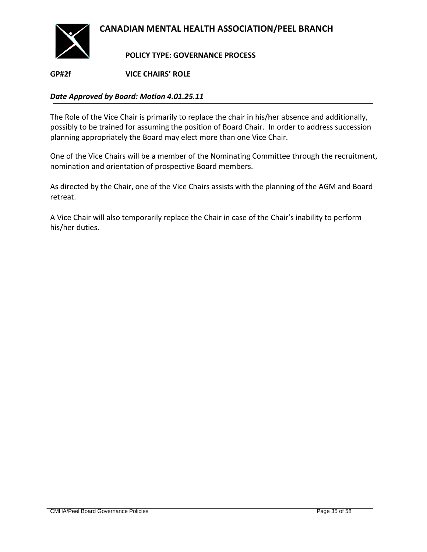

**POLICY TYPE: GOVERNANCE PROCESS**

<span id="page-34-0"></span>**GP#2f VICE CHAIRS' ROLE**

### *Date Approved by Board: Motion 4.01.25.11*

The Role of the Vice Chair is primarily to replace the chair in his/her absence and additionally, possibly to be trained for assuming the position of Board Chair. In order to address succession planning appropriately the Board may elect more than one Vice Chair.

One of the Vice Chairs will be a member of the Nominating Committee through the recruitment, nomination and orientation of prospective Board members.

As directed by the Chair, one of the Vice Chairs assists with the planning of the AGM and Board retreat.

A Vice Chair will also temporarily replace the Chair in case of the Chair's inability to perform his/her duties.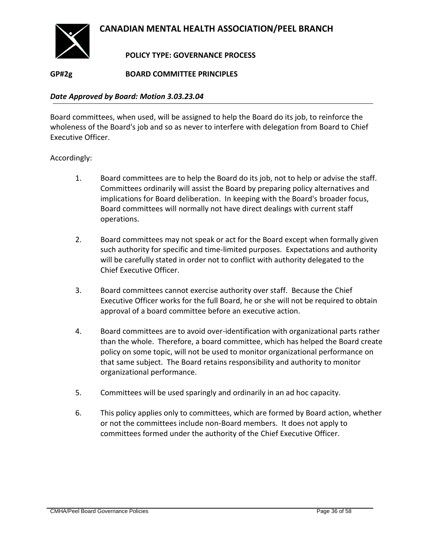

### **POLICY TYPE: GOVERNANCE PROCESS**

<span id="page-35-0"></span>**GP#2g BOARD COMMITTEE PRINCIPLES**

#### *Date Approved by Board: Motion 3.03.23.04*

Board committees, when used, will be assigned to help the Board do its job, to reinforce the wholeness of the Board's job and so as never to interfere with delegation from Board to Chief Executive Officer.

- 1. Board committees are to help the Board do its job, not to help or advise the staff. Committees ordinarily will assist the Board by preparing policy alternatives and implications for Board deliberation. In keeping with the Board's broader focus, Board committees will normally not have direct dealings with current staff operations.
- 2. Board committees may not speak or act for the Board except when formally given such authority for specific and time-limited purposes. Expectations and authority will be carefully stated in order not to conflict with authority delegated to the Chief Executive Officer.
- 3. Board committees cannot exercise authority over staff. Because the Chief Executive Officer works for the full Board, he or she will not be required to obtain approval of a board committee before an executive action.
- 4. Board committees are to avoid over-identification with organizational parts rather than the whole. Therefore, a board committee, which has helped the Board create policy on some topic, will not be used to monitor organizational performance on that same subject. The Board retains responsibility and authority to monitor organizational performance.
- 5. Committees will be used sparingly and ordinarily in an ad hoc capacity.
- 6. This policy applies only to committees, which are formed by Board action, whether or not the committees include non-Board members. It does not apply to committees formed under the authority of the Chief Executive Officer.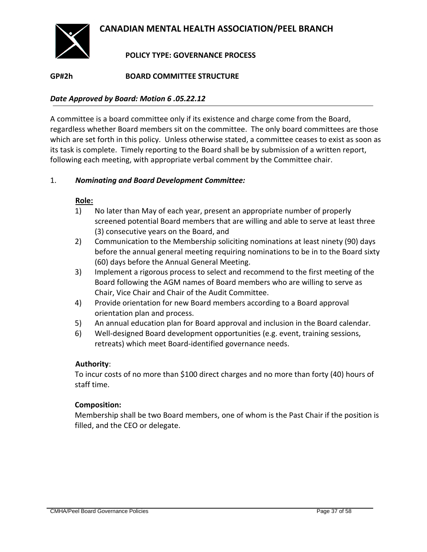

### **POLICY TYPE: GOVERNANCE PROCESS**

### <span id="page-36-0"></span>**GP#2h BOARD COMMITTEE STRUCTURE**

#### *Date Approved by Board: Motion 6 .05.22.12*

A committee is a board committee only if its existence and charge come from the Board, regardless whether Board members sit on the committee. The only board committees are those which are set forth in this policy. Unless otherwise stated, a committee ceases to exist as soon as its task is complete. Timely reporting to the Board shall be by submission of a written report, following each meeting, with appropriate verbal comment by the Committee chair.

#### 1. *Nominating and Board Development Committee:*

#### **Role:**

- 1) No later than May of each year, present an appropriate number of properly screened potential Board members that are willing and able to serve at least three (3) consecutive years on the Board, and
- 2) Communication to the Membership soliciting nominations at least ninety (90) days before the annual general meeting requiring nominations to be in to the Board sixty (60) days before the Annual General Meeting.
- 3) Implement a rigorous process to select and recommend to the first meeting of the Board following the AGM names of Board members who are willing to serve as Chair, Vice Chair and Chair of the Audit Committee.
- 4) Provide orientation for new Board members according to a Board approval orientation plan and process.
- 5) An annual education plan for Board approval and inclusion in the Board calendar.
- 6) Well-designed Board development opportunities (e.g. event, training sessions, retreats) which meet Board-identified governance needs.

### **Authority**:

To incur costs of no more than \$100 direct charges and no more than forty (40) hours of staff time.

#### **Composition:**

Membership shall be two Board members, one of whom is the Past Chair if the position is filled, and the CEO or delegate.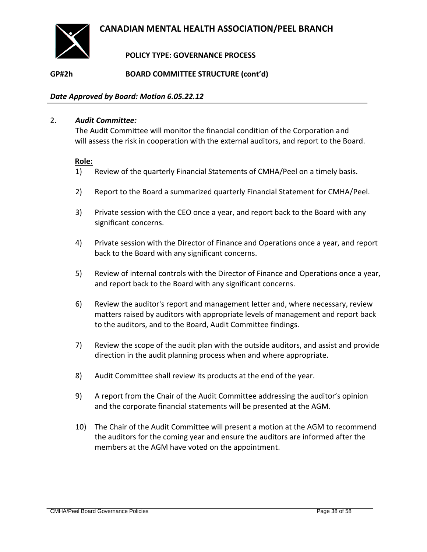

### **POLICY TYPE: GOVERNANCE PROCESS**

**GP#2h BOARD COMMITTEE STRUCTURE (cont'd)**

#### *Date Approved by Board: Motion 6.05.22.12*

#### 2. *Audit Committee:*

The Audit Committee will monitor the financial condition of the Corporation and will assess the risk in cooperation with the external auditors, and report to the Board.

#### **Role:**

- 1) Review of the quarterly Financial Statements of CMHA/Peel on a timely basis.
- 2) Report to the Board a summarized quarterly Financial Statement for CMHA/Peel.
- 3) Private session with the CEO once a year, and report back to the Board with any significant concerns.
- 4) Private session with the Director of Finance and Operations once a year, and report back to the Board with any significant concerns.
- 5) Review of internal controls with the Director of Finance and Operations once a year, and report back to the Board with any significant concerns.
- 6) Review the auditor's report and management letter and, where necessary, review matters raised by auditors with appropriate levels of management and report back to the auditors, and to the Board, Audit Committee findings.
- 7) Review the scope of the audit plan with the outside auditors, and assist and provide direction in the audit planning process when and where appropriate.
- 8) Audit Committee shall review its products at the end of the year.
- 9) A report from the Chair of the Audit Committee addressing the auditor's opinion and the corporate financial statements will be presented at the AGM.
- 10) The Chair of the Audit Committee will present a motion at the AGM to recommend the auditors for the coming year and ensure the auditors are informed after the members at the AGM have voted on the appointment.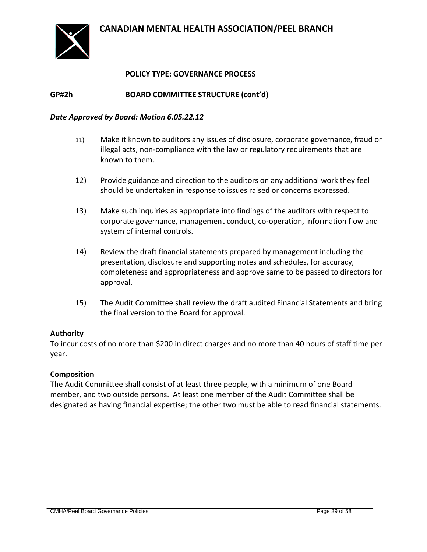

### **POLICY TYPE: GOVERNANCE PROCESS**

**GP#2h BOARD COMMITTEE STRUCTURE (cont'd)**

#### *Date Approved by Board: Motion 6.05.22.12*

- 11) Make it known to auditors any issues of disclosure, corporate governance, fraud or illegal acts, non-compliance with the law or regulatory requirements that are known to them.
- 12) Provide guidance and direction to the auditors on any additional work they feel should be undertaken in response to issues raised or concerns expressed.
- 13) Make such inquiries as appropriate into findings of the auditors with respect to corporate governance, management conduct, co-operation, information flow and system of internal controls.
- 14) Review the draft financial statements prepared by management including the presentation, disclosure and supporting notes and schedules, for accuracy, completeness and appropriateness and approve same to be passed to directors for approval.
- 15) The Audit Committee shall review the draft audited Financial Statements and bring the final version to the Board for approval.

#### **Authority**

To incur costs of no more than \$200 in direct charges and no more than 40 hours of staff time per year.

#### **Composition**

The Audit Committee shall consist of at least three people, with a minimum of one Board member, and two outside persons. At least one member of the Audit Committee shall be designated as having financial expertise; the other two must be able to read financial statements.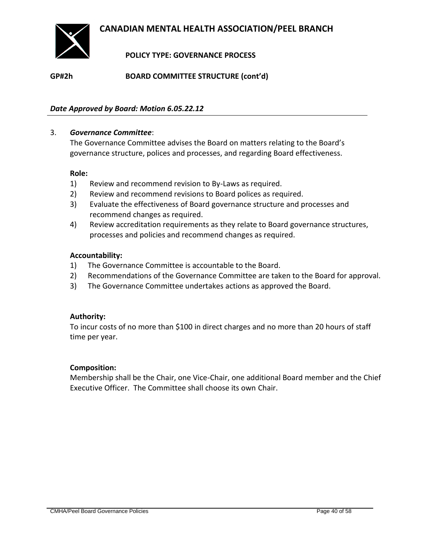

**POLICY TYPE: GOVERNANCE PROCESS**

**GP#2h BOARD COMMITTEE STRUCTURE (cont'd)**

#### *Date Approved by Board: Motion 6.05.22.12*

#### 3. *Governance Committee*:

The Governance Committee advises the Board on matters relating to the Board's governance structure, polices and processes, and regarding Board effectiveness.

#### **Role:**

- 1) Review and recommend revision to By-Laws as required.
- 2) Review and recommend revisions to Board polices as required.
- 3) Evaluate the effectiveness of Board governance structure and processes and recommend changes as required.
- 4) Review accreditation requirements as they relate to Board governance structures, processes and policies and recommend changes as required.

#### **Accountability:**

- 1) The Governance Committee is accountable to the Board.
- 2) Recommendations of the Governance Committee are taken to the Board for approval.
- 3) The Governance Committee undertakes actions as approved the Board.

#### **Authority:**

To incur costs of no more than \$100 in direct charges and no more than 20 hours of staff time per year.

#### **Composition:**

Membership shall be the Chair, one Vice-Chair, one additional Board member and the Chief Executive Officer. The Committee shall choose its own Chair.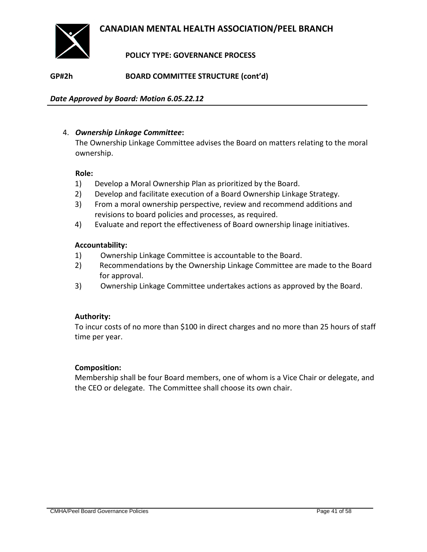

### **POLICY TYPE: GOVERNANCE PROCESS**

**GP#2h BOARD COMMITTEE STRUCTURE (cont'd)**

*Date Approved by Board: Motion 6.05.22.12*

#### 4. *Ownership Linkage Committee***:**

The Ownership Linkage Committee advises the Board on matters relating to the moral ownership.

#### **Role:**

- 1) Develop a Moral Ownership Plan as prioritized by the Board.
- 2) Develop and facilitate execution of a Board Ownership Linkage Strategy.
- 3) From a moral ownership perspective, review and recommend additions and revisions to board policies and processes, as required.
- 4) Evaluate and report the effectiveness of Board ownership linage initiatives.

#### **Accountability:**

- 1) Ownership Linkage Committee is accountable to the Board.
- 2) Recommendations by the Ownership Linkage Committee are made to the Board for approval.
- 3) Ownership Linkage Committee undertakes actions as approved by the Board.

#### **Authority:**

To incur costs of no more than \$100 in direct charges and no more than 25 hours of staff time per year.

#### **Composition:**

Membership shall be four Board members, one of whom is a Vice Chair or delegate, and the CEO or delegate. The Committee shall choose its own chair.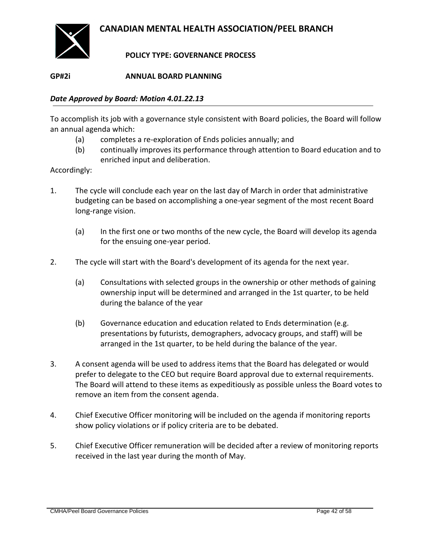

### **POLICY TYPE: GOVERNANCE PROCESS**

### <span id="page-41-0"></span>**GP#2i ANNUAL BOARD PLANNING**

#### *Date Approved by Board: Motion 4.01.22.13*

To accomplish its job with a governance style consistent with Board policies, the Board will follow an annual agenda which:

- (a) completes a re-exploration of Ends policies annually; and
- (b) continually improves its performance through attention to Board education and to enriched input and deliberation.

- 1. The cycle will conclude each year on the last day of March in order that administrative budgeting can be based on accomplishing a one-year segment of the most recent Board long-range vision.
	- (a) In the first one or two months of the new cycle, the Board will develop its agenda for the ensuing one-year period.
- 2. The cycle will start with the Board's development of its agenda for the next year.
	- (a) Consultations with selected groups in the ownership or other methods of gaining ownership input will be determined and arranged in the 1st quarter, to be held during the balance of the year
	- (b) Governance education and education related to Ends determination (e.g. presentations by futurists, demographers, advocacy groups, and staff) will be arranged in the 1st quarter, to be held during the balance of the year.
- 3. A consent agenda will be used to address items that the Board has delegated or would prefer to delegate to the CEO but require Board approval due to external requirements. The Board will attend to these items as expeditiously as possible unless the Board votes to remove an item from the consent agenda.
- 4. Chief Executive Officer monitoring will be included on the agenda if monitoring reports show policy violations or if policy criteria are to be debated.
- 5. Chief Executive Officer remuneration will be decided after a review of monitoring reports received in the last year during the month of May.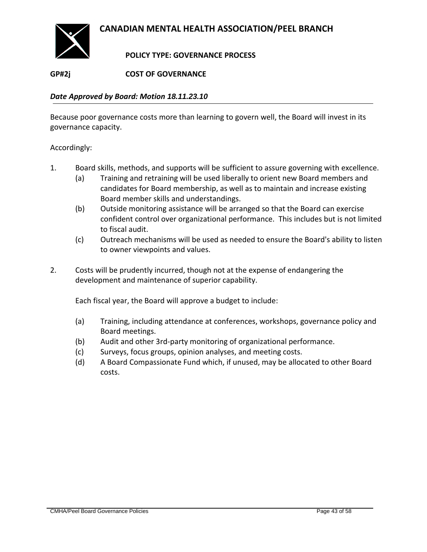

### **POLICY TYPE: GOVERNANCE PROCESS**

### <span id="page-42-0"></span>**GP#2j COST OF GOVERNANCE**

#### *Date Approved by Board: Motion 18.11.23.10*

Because poor governance costs more than learning to govern well, the Board will invest in its governance capacity.

Accordingly:

- 1. Board skills, methods, and supports will be sufficient to assure governing with excellence.
	- (a) Training and retraining will be used liberally to orient new Board members and candidates for Board membership, as well as to maintain and increase existing Board member skills and understandings.
	- (b) Outside monitoring assistance will be arranged so that the Board can exercise confident control over organizational performance. This includes but is not limited to fiscal audit.
	- (c) Outreach mechanisms will be used as needed to ensure the Board's ability to listen to owner viewpoints and values.
- 2. Costs will be prudently incurred, though not at the expense of endangering the development and maintenance of superior capability.

Each fiscal year, the Board will approve a budget to include:

- (a) Training, including attendance at conferences, workshops, governance policy and Board meetings.
- (b) Audit and other 3rd-party monitoring of organizational performance.
- (c) Surveys, focus groups, opinion analyses, and meeting costs.
- (d) A Board Compassionate Fund which, if unused, may be allocated to other Board costs.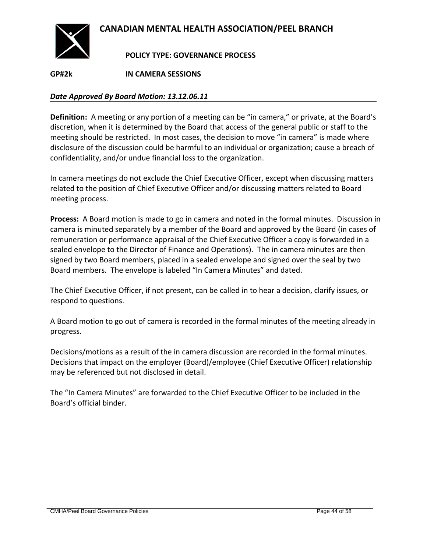

**POLICY TYPE: GOVERNANCE PROCESS**

<span id="page-43-0"></span>**GP#2k IN CAMERA SESSIONS**

#### *Date Approved By Board Motion: 13.12.06.11*

**Definition:** A meeting or any portion of a meeting can be "in camera," or private, at the Board's discretion, when it is determined by the Board that access of the general public or staff to the meeting should be restricted. In most cases, the decision to move "in camera" is made where disclosure of the discussion could be harmful to an individual or organization; cause a breach of confidentiality, and/or undue financial loss to the organization.

In camera meetings do not exclude the Chief Executive Officer, except when discussing matters related to the position of Chief Executive Officer and/or discussing matters related to Board meeting process.

**Process:** A Board motion is made to go in camera and noted in the formal minutes. Discussion in camera is minuted separately by a member of the Board and approved by the Board (in cases of remuneration or performance appraisal of the Chief Executive Officer a copy is forwarded in a sealed envelope to the Director of Finance and Operations). The in camera minutes are then signed by two Board members, placed in a sealed envelope and signed over the seal by two Board members. The envelope is labeled "In Camera Minutes" and dated.

The Chief Executive Officer, if not present, can be called in to hear a decision, clarify issues, or respond to questions.

A Board motion to go out of camera is recorded in the formal minutes of the meeting already in progress.

Decisions/motions as a result of the in camera discussion are recorded in the formal minutes. Decisions that impact on the employer (Board)/employee (Chief Executive Officer) relationship may be referenced but not disclosed in detail.

The "In Camera Minutes" are forwarded to the Chief Executive Officer to be included in the Board's official binder.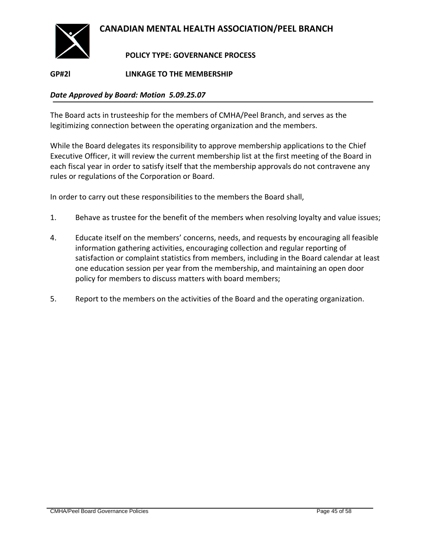

### **POLICY TYPE: GOVERNANCE PROCESS**

<span id="page-44-0"></span>**GP#2l LINKAGE TO THE MEMBERSHIP**

### *Date Approved by Board: Motion 5.09.25.07*

The Board acts in trusteeship for the members of CMHA/Peel Branch, and serves as the legitimizing connection between the operating organization and the members.

While the Board delegates its responsibility to approve membership applications to the Chief Executive Officer, it will review the current membership list at the first meeting of the Board in each fiscal year in order to satisfy itself that the membership approvals do not contravene any rules or regulations of the Corporation or Board.

In order to carry out these responsibilities to the members the Board shall,

- 1. Behave as trustee for the benefit of the members when resolving loyalty and value issues;
- 4. Educate itself on the members' concerns, needs, and requests by encouraging all feasible information gathering activities, encouraging collection and regular reporting of satisfaction or complaint statistics from members, including in the Board calendar at least one education session per year from the membership, and maintaining an open door policy for members to discuss matters with board members;
- 5. Report to the members on the activities of the Board and the operating organization.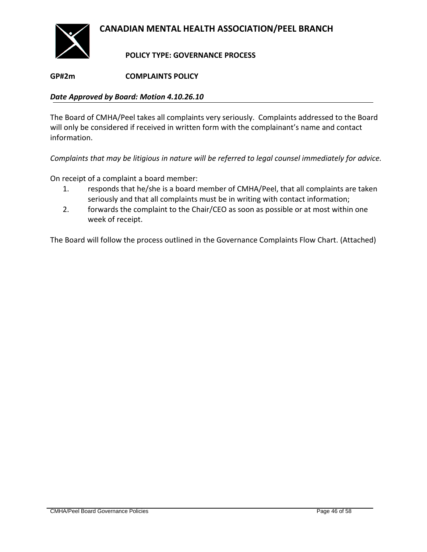

**POLICY TYPE: GOVERNANCE PROCESS**

### <span id="page-45-0"></span>**GP#2m COMPLAINTS POLICY**

#### *Date Approved by Board: Motion 4.10.26.10*

The Board of CMHA/Peel takes all complaints very seriously. Complaints addressed to the Board will only be considered if received in written form with the complainant's name and contact information.

*Complaints that may be litigious in nature will be referred to legal counsel immediately for advice.*

On receipt of a complaint a board member:

- 1. responds that he/she is a board member of CMHA/Peel, that all complaints are taken seriously and that all complaints must be in writing with contact information;
- 2. forwards the complaint to the Chair/CEO as soon as possible or at most within one week of receipt.

The Board will follow the process outlined in the Governance Complaints Flow Chart. (Attached)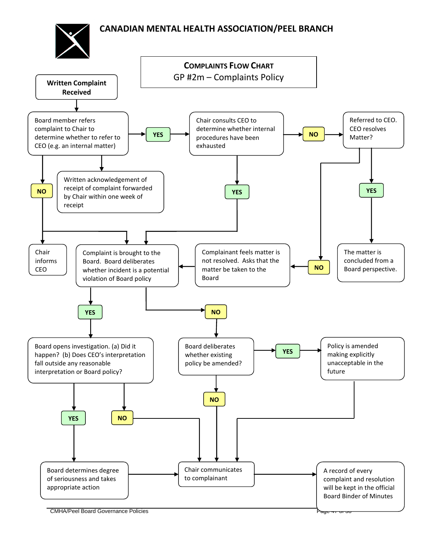

**CMHA/Peel Board Governance Policies**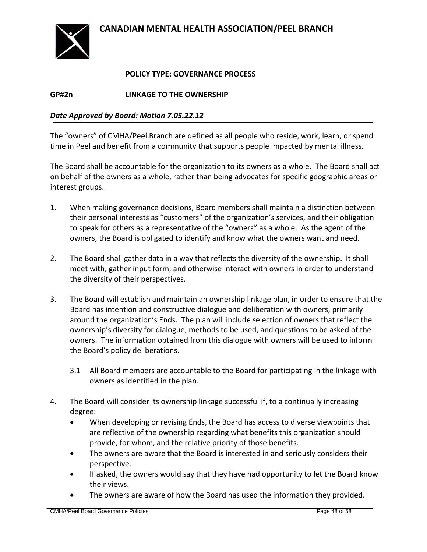

### **POLICY TYPE: GOVERNANCE PROCESS**

<span id="page-47-0"></span>**GP#2n LINKAGE TO THE OWNERSHIP**

#### *Date Approved by Board: Motion 7.05.22.12*

The "owners" of CMHA/Peel Branch are defined as all people who reside, work, learn, or spend time in Peel and benefit from a community that supports people impacted by mental illness.

The Board shall be accountable for the organization to its owners as a whole. The Board shall act on behalf of the owners as a whole, rather than being advocates for specific geographic areas or interest groups.

- 1. When making governance decisions, Board members shall maintain a distinction between their personal interests as "customers" of the organization's services, and their obligation to speak for others as a representative of the "owners" as a whole. As the agent of the owners, the Board is obligated to identify and know what the owners want and need.
- 2. The Board shall gather data in a way that reflects the diversity of the ownership. It shall meet with, gather input form, and otherwise interact with owners in order to understand the diversity of their perspectives.
- 3. The Board will establish and maintain an ownership linkage plan, in order to ensure that the Board has intention and constructive dialogue and deliberation with owners, primarily around the organization's Ends. The plan will include selection of owners that reflect the ownership's diversity for dialogue, methods to be used, and questions to be asked of the owners. The information obtained from this dialogue with owners will be used to inform the Board's policy deliberations.
	- 3.1 All Board members are accountable to the Board for participating in the linkage with owners as identified in the plan.
- 4. The Board will consider its ownership linkage successful if, to a continually increasing degree:
	- When developing or revising Ends, the Board has access to diverse viewpoints that are reflective of the ownership regarding what benefits this organization should provide, for whom, and the relative priority of those benefits.
	- The owners are aware that the Board is interested in and seriously considers their perspective.
	- If asked, the owners would say that they have had opportunity to let the Board know their views.
	- The owners are aware of how the Board has used the information they provided.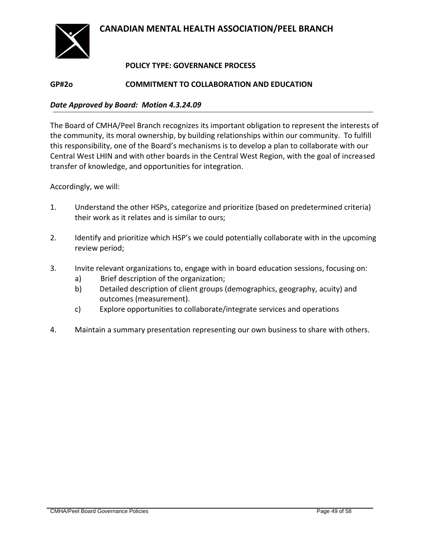

### **POLICY TYPE: GOVERNANCE PROCESS**

#### <span id="page-48-0"></span>**GP#2o COMMITMENT TO COLLABORATION AND EDUCATION**

#### *Date Approved by Board: Motion 4.3.24.09*

The Board of CMHA/Peel Branch recognizes its important obligation to represent the interests of the community, its moral ownership, by building relationships within our community. To fulfill this responsibility, one of the Board's mechanisms is to develop a plan to collaborate with our Central West LHIN and with other boards in the Central West Region, with the goal of increased transfer of knowledge, and opportunities for integration.

Accordingly, we will:

- 1. Understand the other HSPs, categorize and prioritize (based on predetermined criteria) their work as it relates and is similar to ours;
- 2. Identify and prioritize which HSP's we could potentially collaborate with in the upcoming review period;
- 3. Invite relevant organizations to, engage with in board education sessions, focusing on:
	- a) Brief description of the organization;
	- b) Detailed description of client groups (demographics, geography, acuity) and outcomes (measurement).
	- c) Explore opportunities to collaborate/integrate services and operations
- 4. Maintain a summary presentation representing our own business to share with others.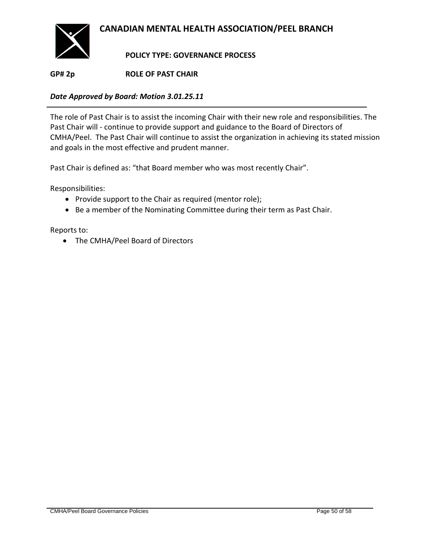

**POLICY TYPE: GOVERNANCE PROCESS**

<span id="page-49-0"></span>**GP# 2p ROLE OF PAST CHAIR**

### *Date Approved by Board: Motion 3.01.25.11*

The role of Past Chair is to assist the incoming Chair with their new role and responsibilities. The Past Chair will - continue to provide support and guidance to the Board of Directors of CMHA/Peel. The Past Chair will continue to assist the organization in achieving its stated mission and goals in the most effective and prudent manner.

Past Chair is defined as: "that Board member who was most recently Chair".

Responsibilities:

- Provide support to the Chair as required (mentor role);
- Be a member of the Nominating Committee during their term as Past Chair.

Reports to:

• The CMHA/Peel Board of Directors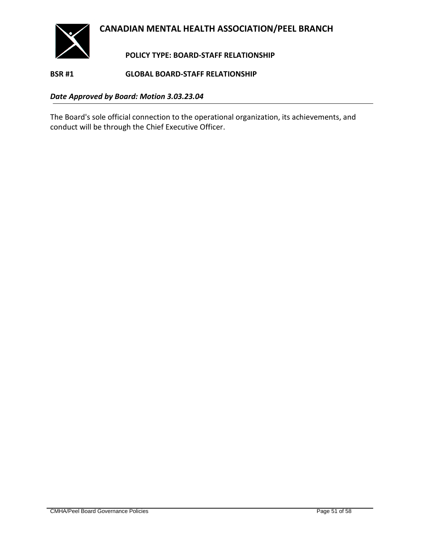

**POLICY TYPE: BOARD-STAFF RELATIONSHIP**

<span id="page-50-1"></span><span id="page-50-0"></span>**BSR #1 GLOBAL BOARD-STAFF RELATIONSHIP**

*Date Approved by Board: Motion 3.03.23.04*

The Board's sole official connection to the operational organization, its achievements, and conduct will be through the Chief Executive Officer.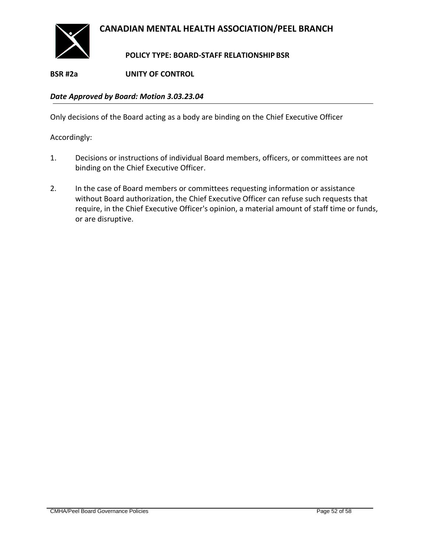

### **POLICY TYPE: BOARD-STAFF RELATIONSHIP BSR**

<span id="page-51-0"></span>**BSR #2a UNITY OF CONTROL**

*Date Approved by Board: Motion 3.03.23.04*

Only decisions of the Board acting as a body are binding on the Chief Executive Officer

- 1. Decisions or instructions of individual Board members, officers, or committees are not binding on the Chief Executive Officer.
- 2. In the case of Board members or committees requesting information or assistance without Board authorization, the Chief Executive Officer can refuse such requests that require, in the Chief Executive Officer's opinion, a material amount of staff time or funds, or are disruptive.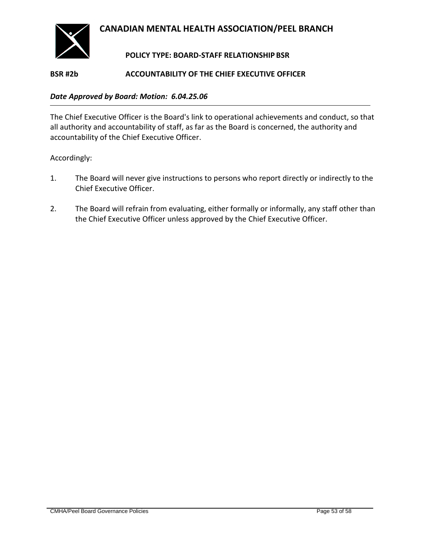

### **POLICY TYPE: BOARD-STAFF RELATIONSHIP BSR**

#### <span id="page-52-0"></span>**BSR #2b ACCOUNTABILITY OF THE CHIEF EXECUTIVE OFFICER**

#### *Date Approved by Board: Motion: 6.04.25.06*

The Chief Executive Officer is the Board's link to operational achievements and conduct, so that all authority and accountability of staff, as far as the Board is concerned, the authority and accountability of the Chief Executive Officer.

- 1. The Board will never give instructions to persons who report directly or indirectly to the Chief Executive Officer.
- 2. The Board will refrain from evaluating, either formally or informally, any staff other than the Chief Executive Officer unless approved by the Chief Executive Officer.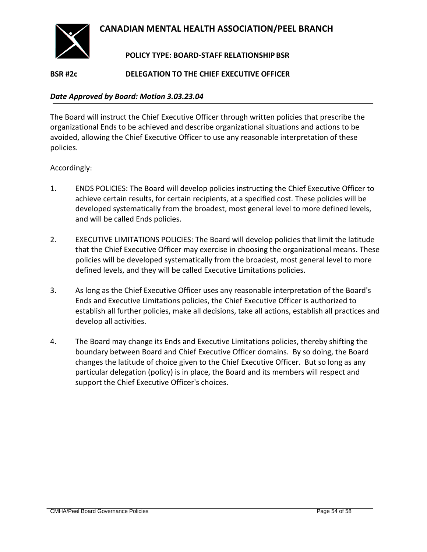

### **POLICY TYPE: BOARD-STAFF RELATIONSHIP BSR**

### <span id="page-53-0"></span>**BSR #2c DELEGATION TO THE CHIEF EXECUTIVE OFFICER**

#### *Date Approved by Board: Motion 3.03.23.04*

The Board will instruct the Chief Executive Officer through written policies that prescribe the organizational Ends to be achieved and describe organizational situations and actions to be avoided, allowing the Chief Executive Officer to use any reasonable interpretation of these policies.

- 1. ENDS POLICIES: The Board will develop policies instructing the Chief Executive Officer to achieve certain results, for certain recipients, at a specified cost. These policies will be developed systematically from the broadest, most general level to more defined levels, and will be called Ends policies.
- 2. EXECUTIVE LIMITATIONS POLICIES: The Board will develop policies that limit the latitude that the Chief Executive Officer may exercise in choosing the organizational means. These policies will be developed systematically from the broadest, most general level to more defined levels, and they will be called Executive Limitations policies.
- 3. As long as the Chief Executive Officer uses any reasonable interpretation of the Board's Ends and Executive Limitations policies, the Chief Executive Officer is authorized to establish all further policies, make all decisions, take all actions, establish all practices and develop all activities.
- 4. The Board may change its Ends and Executive Limitations policies, thereby shifting the boundary between Board and Chief Executive Officer domains. By so doing, the Board changes the latitude of choice given to the Chief Executive Officer. But so long as any particular delegation (policy) is in place, the Board and its members will respect and support the Chief Executive Officer's choices.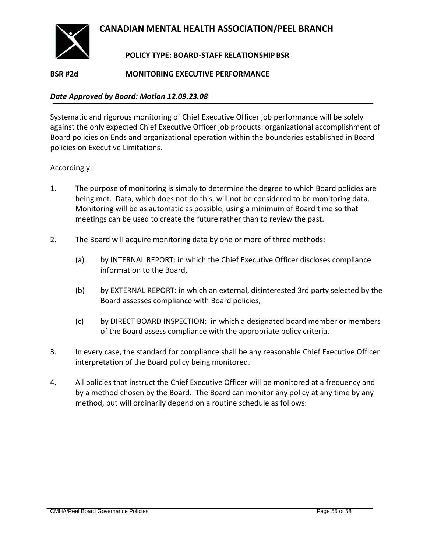

### **POLICY TYPE: BOARD-STAFF RELATIONSHIP BSR**

### <span id="page-54-0"></span>**BSR #2d MONITORING EXECUTIVE PERFORMANCE**

#### *Date Approved by Board: Motion 12.09.23.08*

Systematic and rigorous monitoring of Chief Executive Officer job performance will be solely against the only expected Chief Executive Officer job products: organizational accomplishment of Board policies on Ends and organizational operation within the boundaries established in Board policies on Executive Limitations.

- 1. The purpose of monitoring is simply to determine the degree to which Board policies are being met. Data, which does not do this, will not be considered to be monitoring data. Monitoring will be as automatic as possible, using a minimum of Board time so that meetings can be used to create the future rather than to review the past.
- 2. The Board will acquire monitoring data by one or more of three methods:
	- (a) by INTERNAL REPORT: in which the Chief Executive Officer discloses compliance information to the Board,
	- (b) by EXTERNAL REPORT: in which an external, disinterested 3rd party selected by the Board assesses compliance with Board policies,
	- (c) by DIRECT BOARD INSPECTION: in which a designated board member or members of the Board assess compliance with the appropriate policy criteria.
- 3. In every case, the standard for compliance shall be any reasonable Chief Executive Officer interpretation of the Board policy being monitored.
- 4. All policies that instruct the Chief Executive Officer will be monitored at a frequency and by a method chosen by the Board. The Board can monitor any policy at any time by any method, but will ordinarily depend on a routine schedule as follows: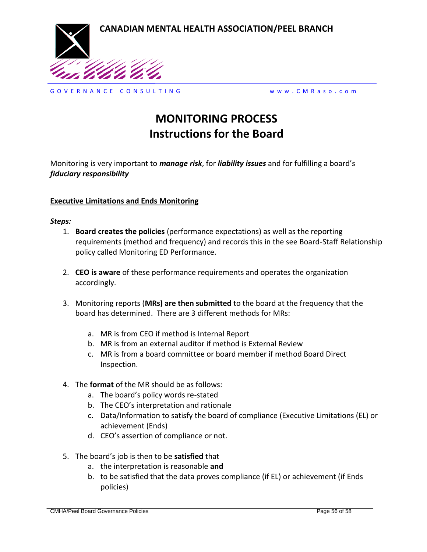

G O V E R N A N C E C O N S U L T I N G w w w . C M R a s o . c o m

## **MONITORING PROCESS Instructions for the Board**

Monitoring is very important to *manage risk*, for *liability issues* and for fulfilling a board's *fiduciary responsibility*

#### **Executive Limitations and Ends Monitoring**

#### *Steps:*

- 1. **Board creates the policies** (performance expectations) as well as the reporting requirements (method and frequency) and records this in the see Board-Staff Relationship policy called Monitoring ED Performance.
- 2. **CEO is aware** of these performance requirements and operates the organization accordingly.
- 3. Monitoring reports (**MRs) are then submitted** to the board at the frequency that the board has determined. There are 3 different methods for MRs:
	- a. MR is from CEO if method is Internal Report
	- b. MR is from an external auditor if method is External Review
	- c. MR is from a board committee or board member if method Board Direct Inspection.
- 4. The **format** of the MR should be as follows:
	- a. The board's policy words re-stated
	- b. The CEO's interpretation and rationale
	- c. Data/Information to satisfy the board of compliance (Executive Limitations (EL) or achievement (Ends)
	- d. CEO's assertion of compliance or not.
- 5. The board's job is then to be **satisfied** that
	- a. the interpretation is reasonable **and**
	- b. to be satisfied that the data proves compliance (if EL) or achievement (if Ends policies)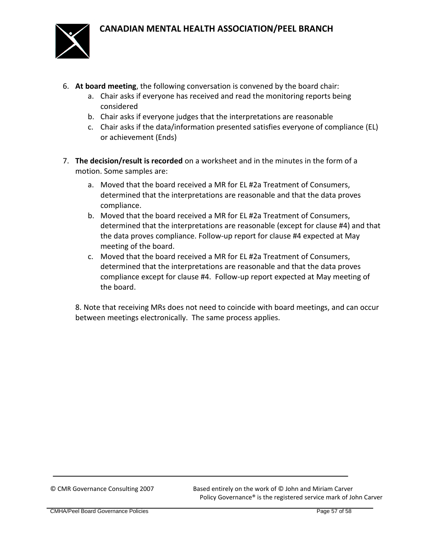

- 6. **At board meeting**, the following conversation is convened by the board chair:
	- a. Chair asks if everyone has received and read the monitoring reports being considered
	- b. Chair asks if everyone judges that the interpretations are reasonable
	- c. Chair asks if the data/information presented satisfies everyone of compliance (EL) or achievement (Ends)
- 7. **The decision/result is recorded** on a worksheet and in the minutes in the form of a motion. Some samples are:
	- a. Moved that the board received a MR for EL #2a Treatment of Consumers, determined that the interpretations are reasonable and that the data proves compliance.
	- b. Moved that the board received a MR for EL #2a Treatment of Consumers, determined that the interpretations are reasonable (except for clause #4) and that the data proves compliance. Follow-up report for clause #4 expected at May meeting of the board.
	- c. Moved that the board received a MR for EL #2a Treatment of Consumers, determined that the interpretations are reasonable and that the data proves compliance except for clause #4. Follow-up report expected at May meeting of the board.

8. Note that receiving MRs does not need to coincide with board meetings, and can occur between meetings electronically. The same process applies.

© CMR Governance Consulting 2007 Based entirely on the work of © John and Miriam Carver Policy Governance® is the registered service mark of John Carver